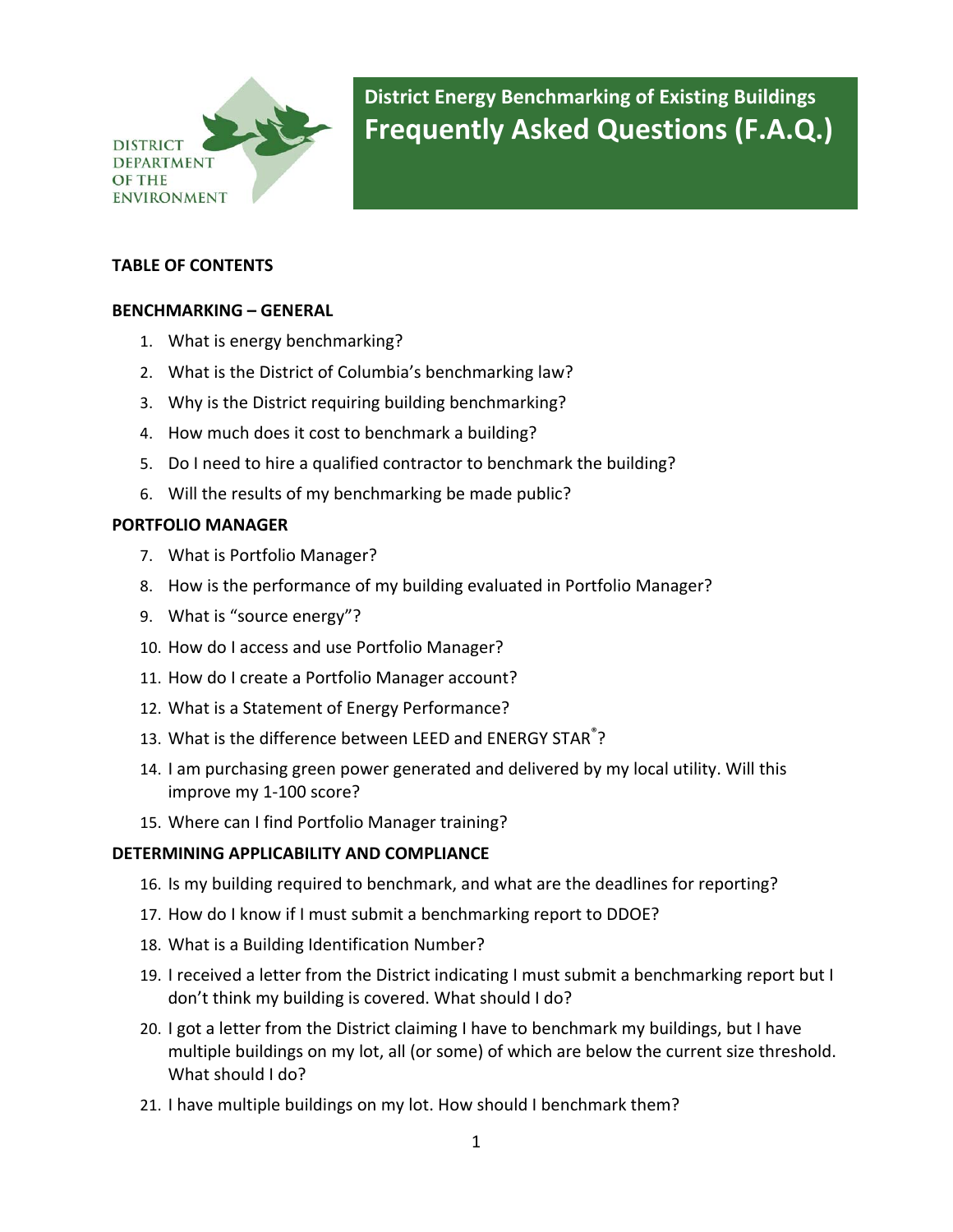

**District Energy Benchmarking of Existing Buildings Frequently Asked Questions (F.A.Q.)**

#### **TABLE OF CONTENTS**

#### **[BENCHMARKING](#page-3-0) – GENERAL**

- 1. What is energy [benchmarking?](#page-3-0)
- 2. What is the District of Columbia's [benchmarking](#page-3-0) law?
- 3. Why is the District requiring building [benchmarking?](#page-3-0)
- 4. How much does it cost to [benchmark](#page-4-0) a building?
- 5. Do I need to hire a qualified contractor to [benchmark](#page-4-0) the building?
- 6. Will the results of my [benchmarking](#page-4-0) be made public?

#### **[PORTFOLIO](#page-5-0) MANAGER**

- 7. What is Portfolio [Manager?](#page-5-0)
- 8. How is the [performance](#page-5-0) of my building evaluated in Portfolio Manager?
- 9. What is "source [energy"?](#page-5-0)
- 10. How do I access and use Portfolio [Manager?](#page-6-0)
- 11. How do I create a Portfolio Manager [account?](#page-6-0)
- 12. What is a Statement of Energy [Performance?](#page-6-0)
- 13. What is the [difference](#page-6-0) between LEED and ENERGY STAR<sup>[®](#page-6-0)</sup>[?](#page-6-0)
- 14. I am [purchasing](#page-7-0) green power generated and delivered by my local utility. Will this [improve](#page-7-0) my 1‐100 score?
- 15. Where can I find Portfolio [Manager](#page-8-0) training?

#### **[DETERMINING](#page-8-0) APPLICABILITY AND COMPLIANCE**

- 16. Is my building required to [benchmark,](#page-8-0) and what are the deadlines for reporting?
- 17. How do I know if I must submit a [benchmarking](#page-9-0) report to DDOE?
- 18. What is a Building [Identification](#page-9-0) Number?
- 19. I received a letter from the District indicating I must submit a [benchmarking](#page-9-0) report but I don't think my building is [covered.](#page-9-0) What should I do?
- 20. I got a letter from the District claiming I have to [benchmark](#page-10-0) my buildings, but I have multiple buildings on my lot, all (or some) of which are below the current size [threshold.](#page-10-0) What [should](#page-10-0) I do?
- 21. I have multiple buildings on my lot. How should I [benchmark](#page-10-0) them?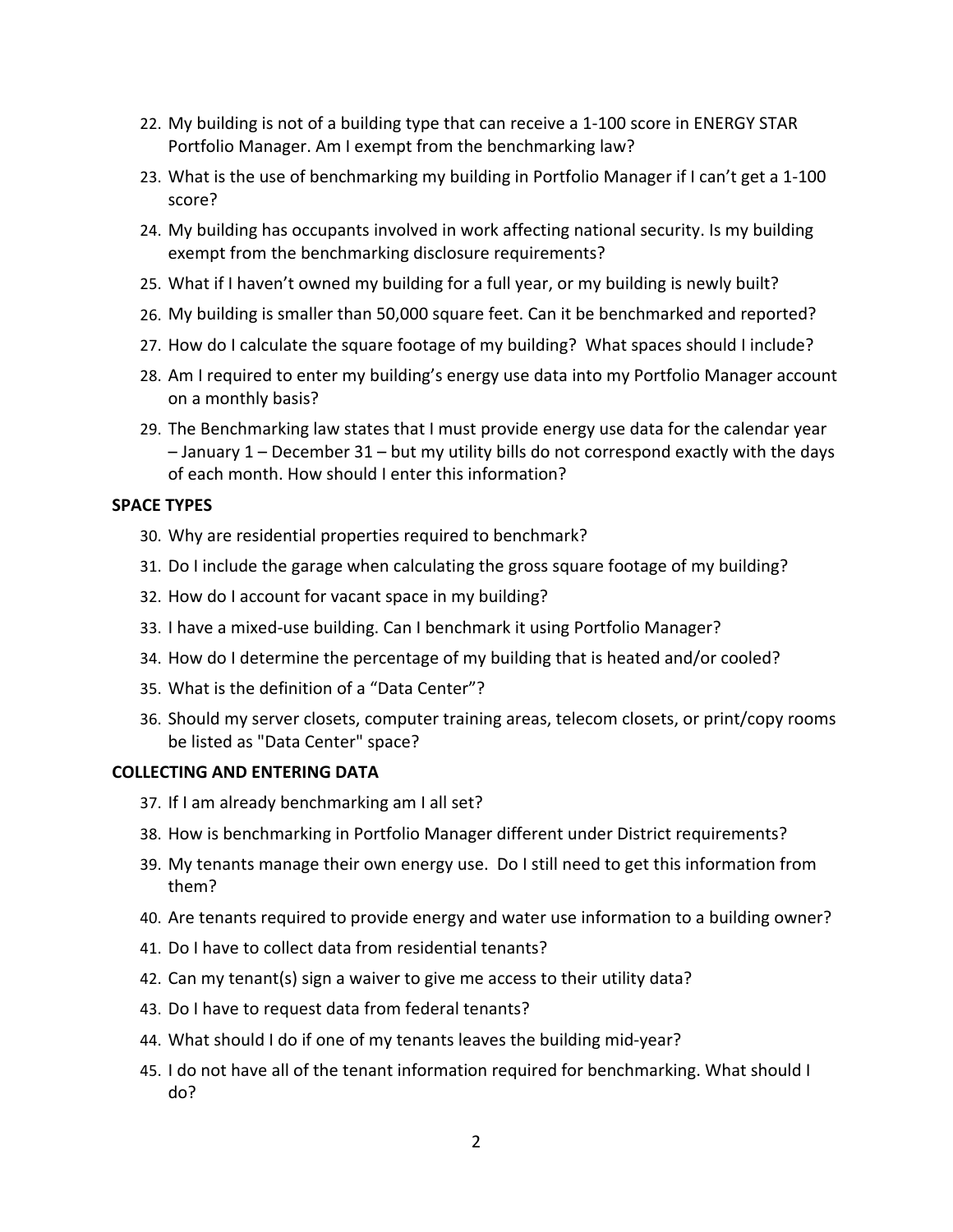- 22. My building is not of a building type that can receive a 1‐100 score in [ENERGY](#page-11-0) STAR Portfolio Manager. Am I exempt from the [benchmarking](#page-11-0) law?
- 23. What is the use of [benchmarking](#page-11-0) my building in Portfolio Manager if I can't get a 1‐100 [score?](#page-11-0)
- 24. My building has [occupants](#page-11-0) involved in work affecting national security. Is my building exempt from the benchmarking disclosure [requirements?](#page-11-0)
- 25. What if I haven't owned my [building](#page-12-0) for a full year, or my building is newly built?
- 26. My building is smaller than 50,000 square feet. Can it be [benchmarked](#page-12-0) and reported?
- 27. How do I calculate the square footage of my [building?](#page-13-0) What spaces should I include?
- 28. Am I required to enter my [building's](#page-13-0) energy use data into my Portfolio Manager account on a [monthly](#page-13-0) basis?
- 29. The [Benchmarking](#page-13-0) law states that I must provide energy use data for the calendar year – January 1 – December 31 – but my utility bills do not [correspond](#page-13-0) exactly with the days of each month. How should I enter this [information?](#page-13-0)

#### **[SPACE](#page-14-0) TYPES**

- 30. Why are residential properties required to [benchmark?](#page-14-0)
- 31. Do I include the garage when [calculating](#page-14-0) the gross square footage of my building?
- 32. How do I account for vacant space in my [building?](#page-14-0)
- 33. I have a mixed‐use building. Can I [benchmark](#page-15-0) it using Portfolio Manager?
- 34. How do I determine the [percentage](#page-15-0) of my building that is heated and/or cooled?
- 35. What is the [definition](#page-16-0) of a "Data Center"?
- 36. Should my server closets, computer training areas, telecom closets, or [print/copy](#page-16-0) rooms be listed as "Data [Center"](#page-16-0) space?

#### **[COLLECTING](#page-17-0) AND ENTERING DATA**

- 37. If I am already [benchmarking](#page-17-0) am I all set?
- 38. How is benchmarking in Portfolio Manager different under District [requirements?](#page-17-0)
- 39. My tenants manage their own energy use. Do I still need to get this [information](#page-17-0) from [them?](#page-17-0)
- 40. Are tenants required to provide energy and water use [information](#page-18-0) to a building owner?
- 41. Do I have to collect data from [residential](#page-18-0) tenants?
- 42. Can my [tenant\(s\)](#page-18-0) sign a waiver to give me access to their utility data?
- 43. Do I have to request data from federal [tenants?](#page-18-0)
- 44. What should I do if one of my tenants leaves the [building](#page-18-0) mid‐year?
- 45. I do not have all of the tenant information required for [benchmarking.](#page-19-0) What should I [do?](#page-19-0)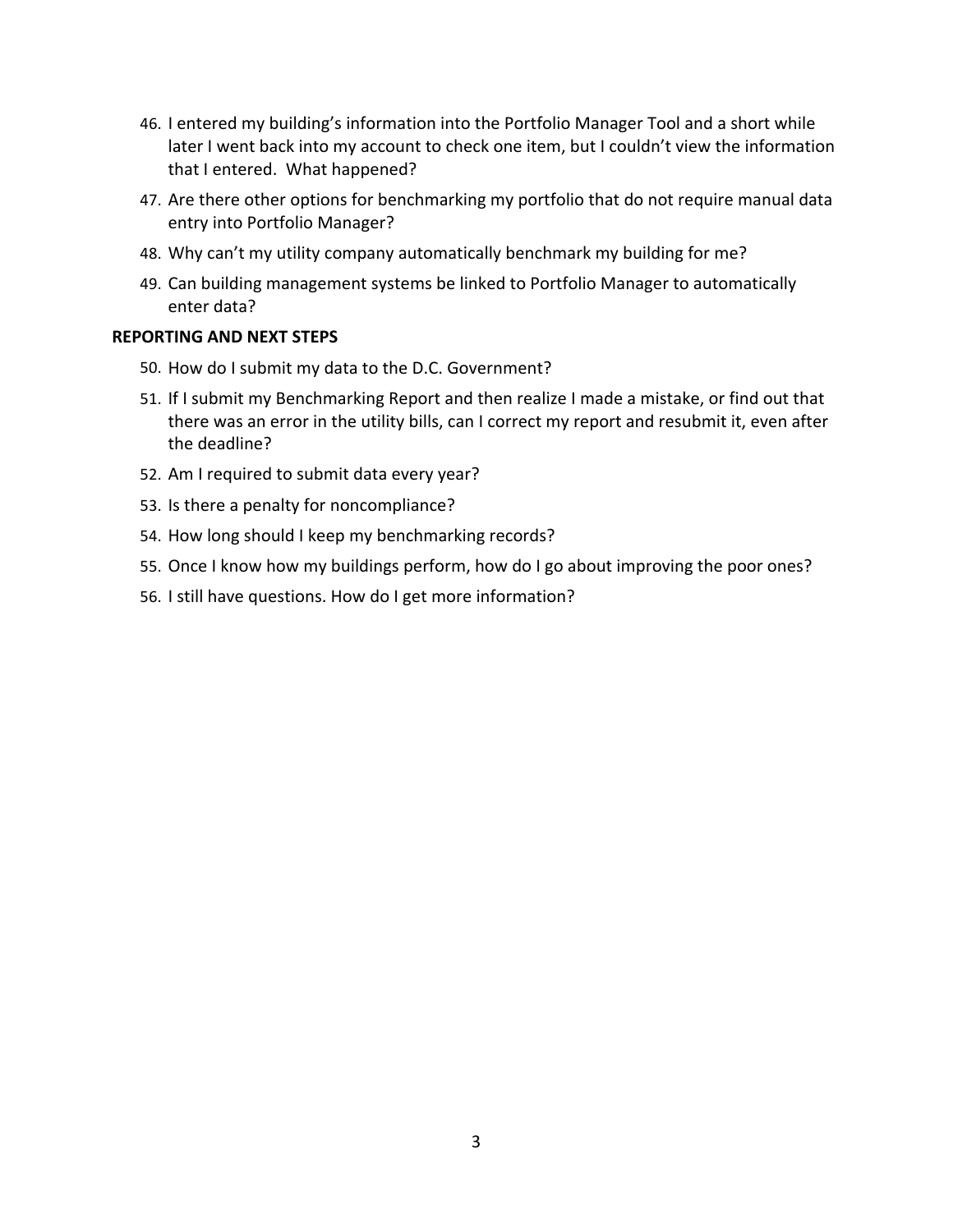- 46. I entered my building's [information](#page-19-0) into the Portfolio Manager Tool and a short while later I went back into my account to check one item, but I couldn't view the [information](#page-19-0) that I entered. What [happened?](#page-19-0)
- 47. Are there other options for [benchmarking](#page-19-0) my portfolio that do not require manual data entry into Portfolio [Manager?](#page-19-0)
- 48. Why can't my utility company [automatically](#page-19-0) benchmark my building for me?
- 49. Can building management systems be linked to Portfolio Manager to [automatically](#page-20-0) enter [data?](#page-20-0)

#### **[REPORTING](#page-20-0) AND NEXT STEPS**

- 50. How do I submit my data to the D.C. [Government?](#page-20-0)
- 51. If I submit my [Benchmarking](#page-21-0) Report and then realize I made a mistake, or find out that there was an error in the utility bills, can I correct my report and [resubmit](#page-21-0) it, even after the [deadline?](#page-21-0)
- 52. Am I [required](#page-21-0) to submit data every year?
- 53. Is there a penalty for [noncompliance?](#page-21-0)
- 54. How long should I keep my [benchmarking](#page-21-0) records?
- 55. Once I know how my buildings perform, how do I go about [improving](#page-22-0) the poor ones?
- 56. I still have questions. How do I get more [information?](#page-22-0)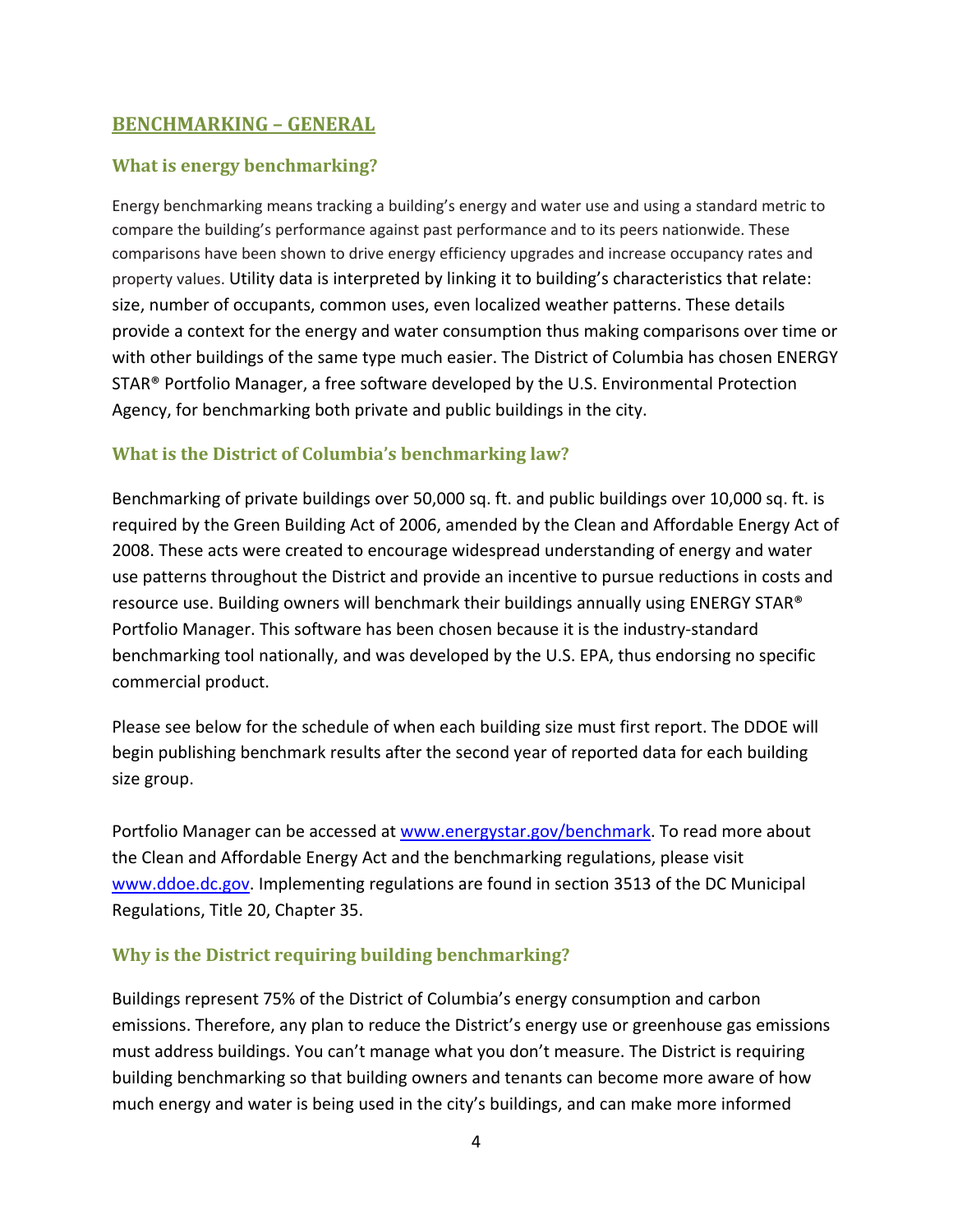### <span id="page-3-0"></span>**BENCHMARKING – GENERAL**

## **What is energy benchmarking?**

Energy benchmarking means tracking a building's energy and water use and using a standard metric to compare the building's performance against past performance and to its peers nationwide. These comparisons have been shown to drive energy efficiency upgrades and increase occupancy rates and property values. Utility data is interpreted by linking it to building's characteristics that relate: size, number of occupants, common uses, even localized weather patterns. These details provide a context for the energy and water consumption thus making comparisons over time or with other buildings of the same type much easier. The District of Columbia has chosen ENERGY STAR® Portfolio Manager, a free software developed by the U.S. Environmental Protection Agency, for benchmarking both private and public buildings in the city.

### **What is the District of Columbia's benchmarking law?**

Benchmarking of private buildings over 50,000 sq. ft. and public buildings over 10,000 sq. ft. is required by the Green Building Act of 2006, amended by the Clean and Affordable Energy Act of 2008. These acts were created to encourage widespread understanding of energy and water use patterns throughout the District and provide an incentive to pursue reductions in costs and resource use. Building owners will benchmark their buildings annually using ENERGY STAR® Portfolio Manager. This software has been chosen because it is the industry‐standard benchmarking tool nationally, and was developed by the U.S. EPA, thus endorsing no specific commercial product.

Please see below for the schedule of when each building size must first report. The DDOE will begin publishing benchmark results after the second year of reported data for each building size group.

Portfolio Manager can be accessed at [www.energystar.gov/benchmark](http://www.energystar.gov/benchmark). To read more about the Clean and Affordable Energy Act and the benchmarking regulations, please visit [www.ddoe.dc.gov](http://www.ddoe.dc.gov/). Implementing regulations are found in section 3513 of the DC Municipal Regulations, Title 20, Chapter 35.

#### **Why is the District requiring building benchmarking?**

Buildings represent 75% of the District of Columbia's energy consumption and carbon emissions. Therefore, any plan to reduce the District's energy use or greenhouse gas emissions must address buildings. You can't manage what you don't measure. The District is requiring building benchmarking so that building owners and tenants can become more aware of how much energy and water is being used in the city's buildings, and can make more informed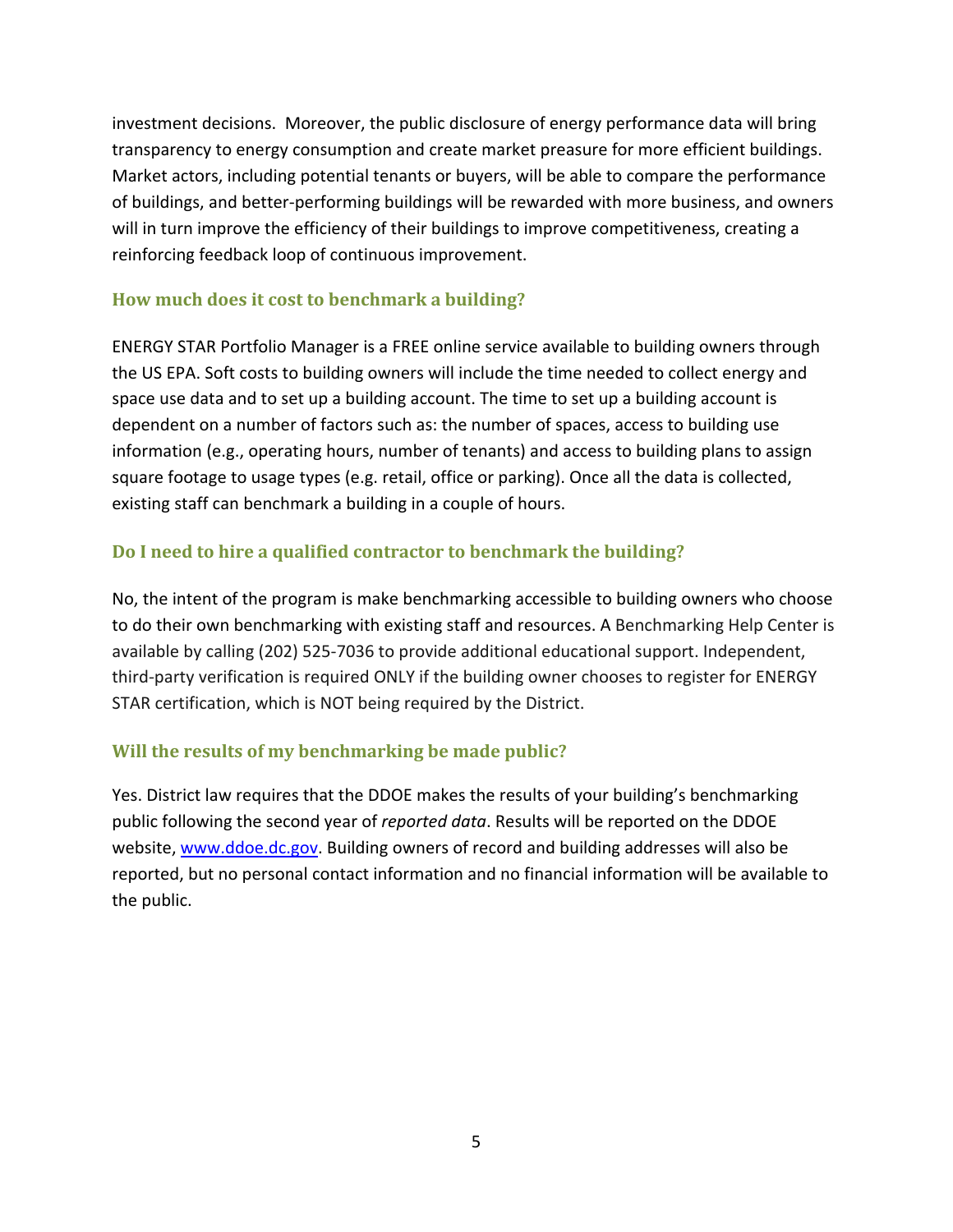<span id="page-4-0"></span>investment decisions. Moreover, the public disclosure of energy performance data will bring transparency to energy consumption and create market preasure for more efficient buildings. Market actors, including potential tenants or buyers, will be able to compare the performance of buildings, and better‐performing buildings will be rewarded with more business, and owners will in turn improve the efficiency of their buildings to improve competitiveness, creating a reinforcing feedback loop of continuous improvement.

# **How much does it cost to benchmark a building?**

ENERGY STAR Portfolio Manager is a FREE online service available to building owners through the US EPA. Soft costs to building owners will include the time needed to collect energy and space use data and to set up a building account. The time to set up a building account is dependent on a number of factors such as: the number of spaces, access to building use information (e.g., operating hours, number of tenants) and access to building plans to assign square footage to usage types (e.g. retail, office or parking). Once all the data is collected, existing staff can benchmark a building in a couple of hours.

# **Do I need to hire a qualified contractor to benchmark the building?**

No, the intent of the program is make benchmarking accessible to building owners who choose to do their own benchmarking with existing staff and resources. A Benchmarking Help Center is available by calling (202) 525‐7036 to provide additional educational support. Independent, third‐party verification is required ONLY if the building owner chooses to register for ENERGY STAR certification, which is NOT being required by the District.

# **Will the results of my benchmarking be made public?**

Yes. District law requires that the DDOE makes the results of your building's benchmarking public following the second year of *reported data*. Results will be reported on the DDOE website, [www.ddoe.dc.gov](http://www.ddoe.dc.gov/). Building owners of record and building addresses will also be reported, but no personal contact information and no financial information will be available to the public.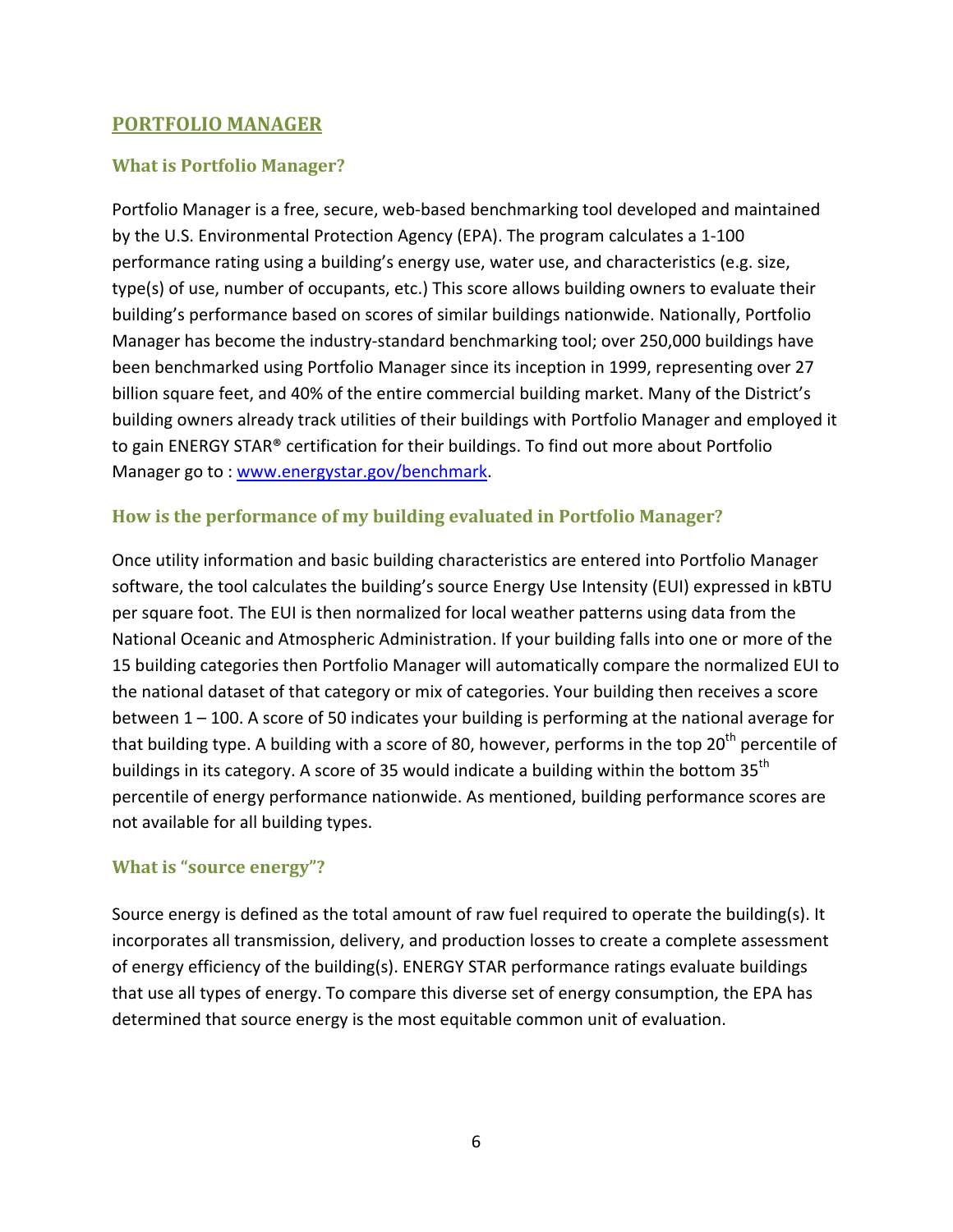### <span id="page-5-0"></span>**PORTFOLIO MANAGER**

# **What is Portfolio Manager?**

Portfolio Manager is a free, secure, web‐based benchmarking tool developed and maintained by the U.S. Environmental Protection Agency (EPA). The program calculates a 1‐100 performance rating using a building's energy use, water use, and characteristics (e.g. size, type(s) of use, number of occupants, etc.) This score allows building owners to evaluate their building's performance based on scores of similar buildings nationwide. Nationally, Portfolio Manager has become the industry‐standard benchmarking tool; over 250,000 buildings have been benchmarked using Portfolio Manager since its inception in 1999, representing over 27 billion square feet, and 40% of the entire commercial building market. Many of the District's building owners already track utilities of their buildings with Portfolio Manager and employed it to gain ENERGY STAR® certification for their buildings. To find out more about Portfolio Manager go to : [www.energystar.gov/benchmark](http://www.energystar.gov/benchmark).

### **How is the performance of my building evaluated in Portfolio Manager?**

Once utility information and basic building characteristics are entered into Portfolio Manager software, the tool calculates the building's source Energy Use Intensity (EUI) expressed in kBTU per square foot. The EUI is then normalized for local weather patterns using data from the National Oceanic and Atmospheric Administration. If your building falls into one or more of the 15 building categories then Portfolio Manager will automatically compare the normalized EUI to the national dataset of that category or mix of categories. Your building then receives a score between 1 – 100. A score of 50 indicates your building is performing at the national average for that building type. A building with a score of 80, however, performs in the top  $20<sup>th</sup>$  percentile of buildings in its category. A score of 35 would indicate a building within the bottom  $35<sup>th</sup>$ percentile of energy performance nationwide. As mentioned, building performance scores are not available for all building types.

# **What is "source energy"?**

Source energy is defined as the total amount of raw fuel required to operate the building(s). It incorporates all transmission, delivery, and production losses to create a complete assessment of energy efficiency of the building(s). ENERGY STAR performance ratings evaluate buildings that use all types of energy. To compare this diverse set of energy consumption, the EPA has determined that source energy is the most equitable common unit of evaluation.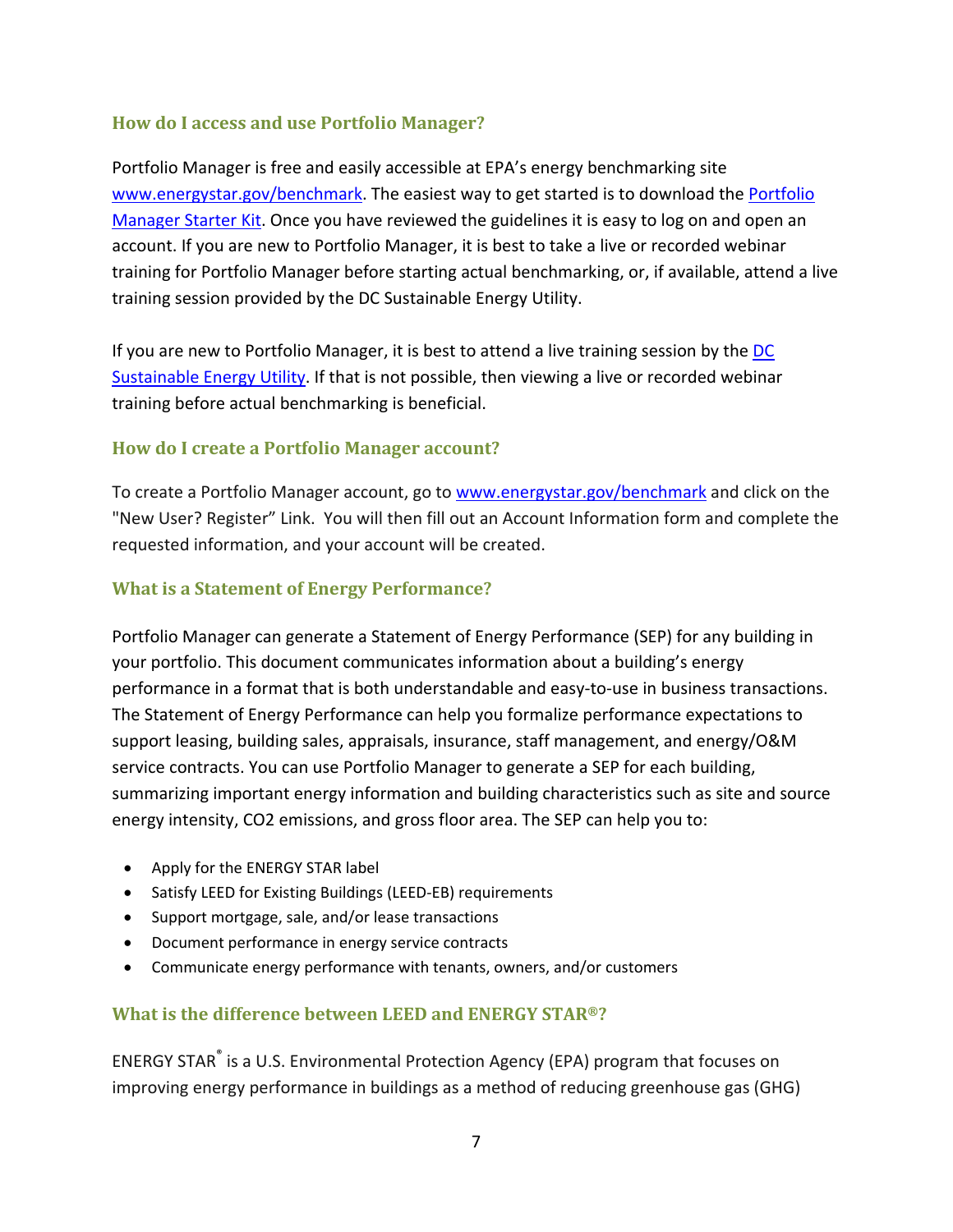### <span id="page-6-0"></span>**How do I access and use Portfolio Manager?**

Portfolio Manager is free and easily accessible at EPA's energy benchmarking site [www.energystar.gov/benchmark.](http://www.energystar.gov/benchmark) The easiest way to get started is to download the [Portfolio](http://www.energystar.gov/index.cfm?c=evaluate_performance.bus_portfoliomanager_benchmarking) [Manager](http://www.energystar.gov/index.cfm?c=evaluate_performance.bus_portfoliomanager_benchmarking) Starter Kit. Once you have reviewed the guidelines it is easy to log on and open an account. If you are new to Portfolio Manager, it is best to take a live or recorded webinar training for Portfolio Manager before starting actual benchmarking, or, if available, attend a live training session provided by the DC Sustainable Energy Utility.

If you are new to Portfolio Manager, it is best to attend a live training session by the [DC](http://www.dcseu.com/) [Sustainable](http://www.dcseu.com/) Energy Utility. If that is not possible, then viewing a live or recorded webinar training before actual benchmarking is beneficial.

### **How do I create a Portfolio Manager account?**

To create a Portfolio Manager account, go to [www.energystar.gov/benchmark](http://www.energystar.gov/benchmark) and click on the "New User? Register" Link. You will then fill out an Account Information form and complete the requested information, and your account will be created.

#### **What is a Statement of Energy Performance?**

Portfolio Manager can generate a Statement of Energy Performance (SEP) for any building in your portfolio. This document communicates information about a building's energy performance in a format that is both understandable and easy-to-use in business transactions. The Statement of Energy Performance can help you formalize performance expectations to support leasing, building sales, appraisals, insurance, staff management, and energy/O&M service contracts. You can use Portfolio Manager to generate a SEP for each building, summarizing important energy information and building characteristics such as site and source energy intensity, CO2 emissions, and gross floor area. The SEP can help you to:

- Apply for the ENERGY STAR label
- Satisfy LEED for Existing Buildings (LEED‐EB) requirements
- Support mortgage, sale, and/or lease transactions
- Document performance in energy service contracts
- Communicate energy performance with tenants, owners, and/or customers

# **What is the difference between LEED and ENERGY STAR®?**

ENERGY STAR® is a U.S. Environmental Protection Agency (EPA) program that focuses on improving energy performance in buildings as a method of reducing greenhouse gas (GHG)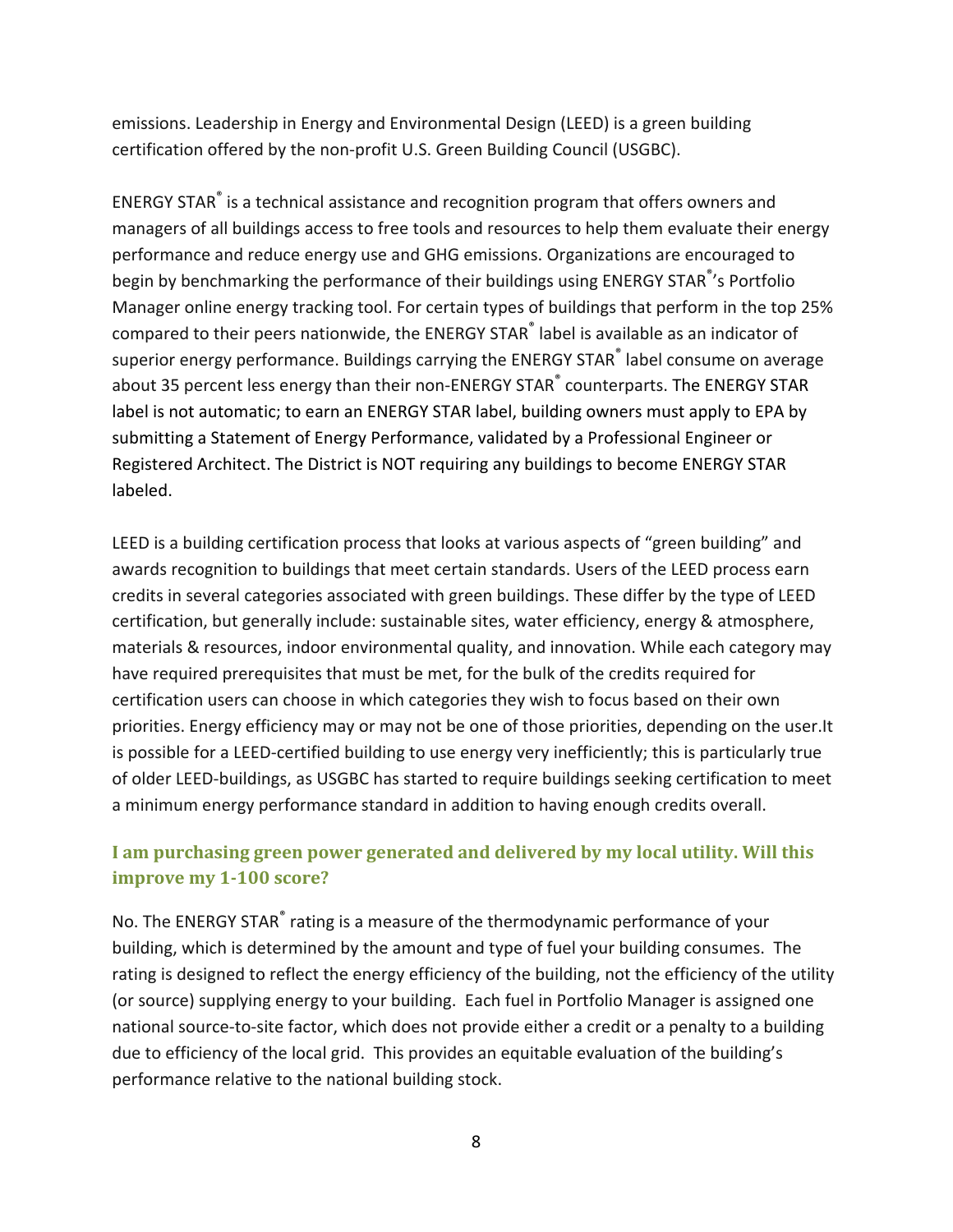<span id="page-7-0"></span>emissions. Leadership in Energy and Environmental Design (LEED) is a green building certification offered by the non‐profit U.S. Green Building Council (USGBC).

ENERGY STAR® is a technical assistance and recognition program that offers owners and managers of all buildings access to free tools and resources to help them evaluate their energy performance and reduce energy use and GHG emissions. Organizations are encouraged to begin by benchmarking the performance of their buildings using ENERGY STAR<sup>®</sup>'s Portfolio Manager online energy tracking tool. For certain types of buildings that perform in the top 25% compared to their peers nationwide, the ENERGY STAR® label is available as an indicator of superior energy performance. Buildings carrying the ENERGY STAR® label consume on average about 35 percent less energy than their non-ENERGY STAR® counterparts. The ENERGY STAR label is not automatic; to earn an ENERGY STAR label, building owners must apply to EPA by submitting a Statement of Energy Performance, validated by a Professional Engineer or Registered Architect. The District is NOT requiring any buildings to become ENERGY STAR labeled.

LEED is a building certification process that looks at various aspects of "green building" and awards recognition to buildings that meet certain standards. Users of the LEED process earn credits in several categories associated with green buildings. These differ by the type of LEED certification, but generally include: sustainable sites, water efficiency, energy & atmosphere, materials & resources, indoor environmental quality, and innovation. While each category may have required prerequisites that must be met, for the bulk of the credits required for certification users can choose in which categories they wish to focus based on their own priorities. Energy efficiency may or may not be one of those priorities, depending on the user.It is possible for a LEED‐certified building to use energy very inefficiently; this is particularly true of older LEED‐buildings, as USGBC has started to require buildings seeking certification to meet a minimum energy performance standard in addition to having enough credits overall.

# **I am purchasing green power generated and delivered by my local utility. Will this improve my 1100 score?**

No. The ENERGY STAR<sup>®</sup> rating is a measure of the thermodynamic performance of your building, which is determined by the amount and type of fuel your building consumes. The rating is designed to reflect the energy efficiency of the building, not the efficiency of the utility (or source) supplying energy to your building. Each fuel in Portfolio Manager is assigned one national source‐to‐site factor, which does not provide either a credit or a penalty to a building due to efficiency of the local grid. This provides an equitable evaluation of the building's performance relative to the national building stock.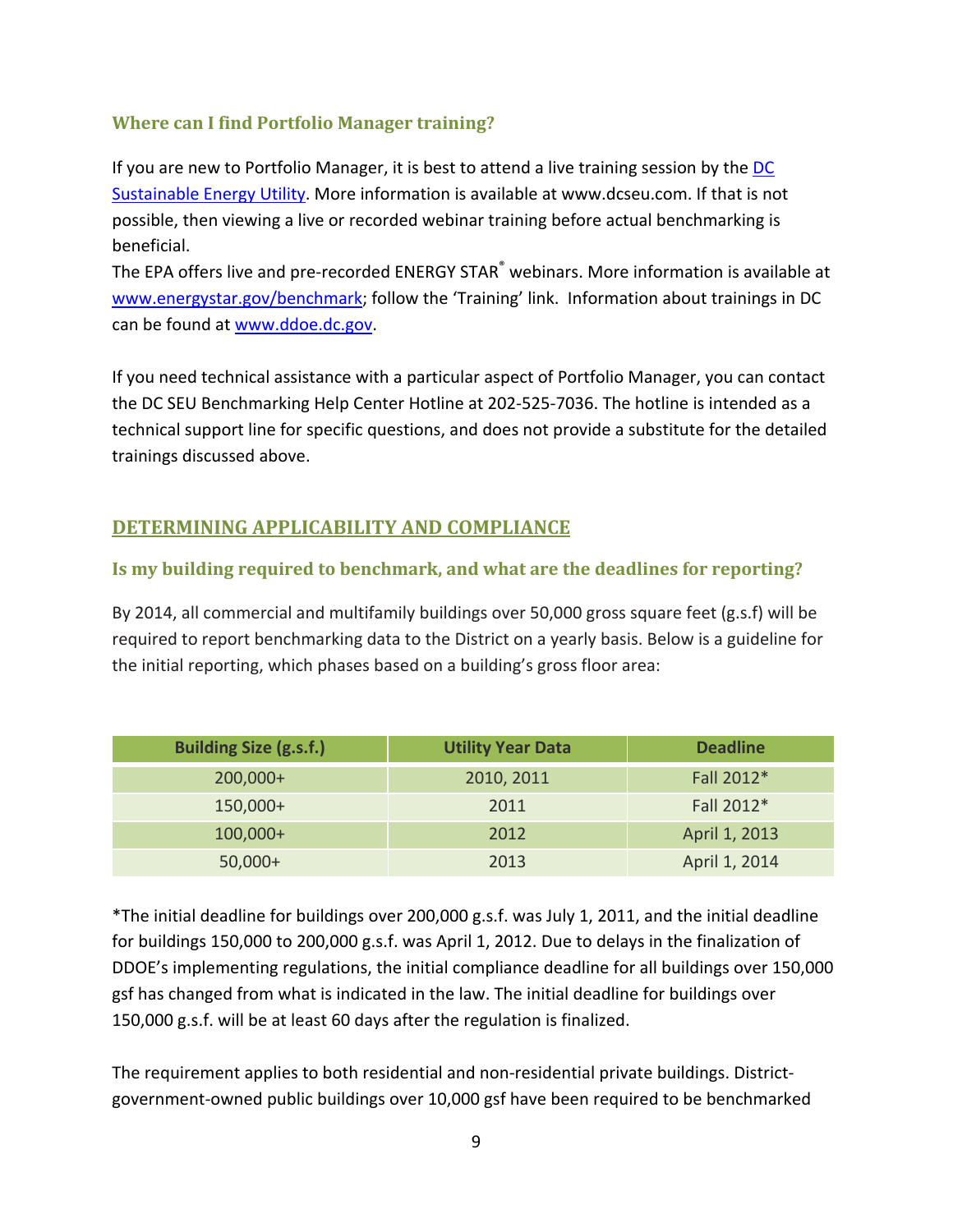## <span id="page-8-0"></span>**Where can I find Portfolio Manager training?**

If you are new to Portfolio Manager, it is best to attend a live training session by the [DC](http://www.dcseu.com/) [Sustainable](http://www.dcseu.com/) Energy Utility. More information is available at www.dcseu.com. If that is not possible, then viewing a live or recorded webinar training before actual benchmarking is beneficial.

The EPA offers live and pre-recorded ENERGY STAR® webinars. More information is available at [www.energystar.gov/benchmark;](http://www.energystar.gov/benchmark) follow the 'Training' link. Information about trainings in DC can be found at [www.ddoe.dc.gov](http://www.ddoe.dc.gov/).

If you need technical assistance with a particular aspect of Portfolio Manager, you can contact the DC SEU Benchmarking Help Center Hotline at 202‐525‐7036. The hotline is intended as a technical support line for specific questions, and does not provide a substitute for the detailed trainings discussed above.

# **DETERMINING APPLICABILITY AND COMPLIANCE**

#### **Is my building required to benchmark, and what are the deadlines for reporting?**

By 2014, all commercial and multifamily buildings over 50,000 gross square feet (g.s.f) will be required to report benchmarking data to the District on a yearly basis. Below is a guideline for the initial reporting, which phases based on a building's gross floor area:

| <b>Building Size (g.s.f.)</b> | <b>Utility Year Data</b> | <b>Deadline</b> |
|-------------------------------|--------------------------|-----------------|
| $200,000+$                    | 2010, 2011               | Fall 2012*      |
| 150,000+                      | 2011                     | Fall 2012*      |
| $100,000+$                    | 2012                     | April 1, 2013   |
| $50,000+$                     | 2013                     | April 1, 2014   |

\*The initial deadline for buildings over 200,000 g.s.f. was July 1, 2011, and the initial deadline for buildings 150,000 to 200,000 g.s.f. was April 1, 2012. Due to delays in the finalization of DDOE's implementing regulations, the initial compliance deadline for all buildings over 150,000 gsf has changed from what is indicated in the law. The initial deadline for buildings over 150,000 g.s.f. will be at least 60 days after the regulation is finalized.

The requirement applies to both residential and non-residential private buildings. Districtgovernment‐owned public buildings over 10,000 gsf have been required to be benchmarked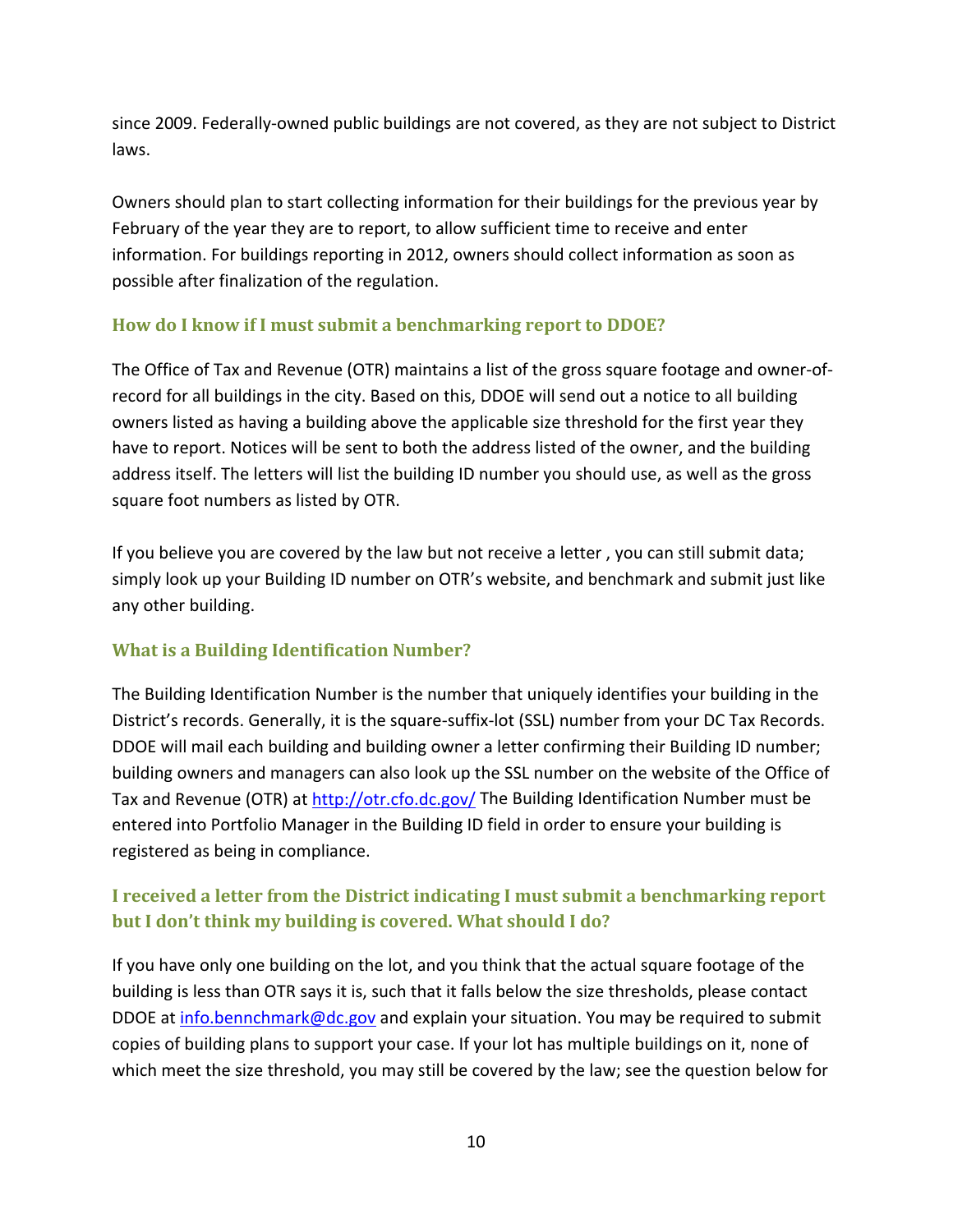<span id="page-9-0"></span>since 2009. Federally‐owned public buildings are not covered, as they are not subject to District laws.

Owners should plan to start collecting information for their buildings for the previous year by February of the year they are to report, to allow sufficient time to receive and enter information. For buildings reporting in 2012, owners should collect information as soon as possible after finalization of the regulation.

# **How do I know if I must submit a benchmarking report to DDOE?**

The Office of Tax and Revenue (OTR) maintains a list of the gross square footage and owner‐of‐ record for all buildings in the city. Based on this, DDOE will send out a notice to all building owners listed as having a building above the applicable size threshold for the first year they have to report. Notices will be sent to both the address listed of the owner, and the building address itself. The letters will list the building ID number you should use, as well as the gross square foot numbers as listed by OTR.

If you believe you are covered by the law but not receive a letter , you can still submit data; simply look up your Building ID number on OTR's website, and benchmark and submit just like any other building.

# **What is a Building Identification Number?**

The Building Identification Number is the number that uniquely identifies your building in the District's records. Generally, it is the square‐suffix‐lot (SSL) number from your DC Tax Records. DDOE will mail each building and building owner a letter confirming their Building ID number; building owners and managers can also look up the SSL number on the website of the Office of Tax and Revenue (OTR) at <http://otr.cfo.dc.gov/> The Building Identification Number must be entered into Portfolio Manager in the Building ID field in order to ensure your building is registered as being in compliance.

# **I received a letter from the District indicating I must submit a benchmarking report but I don't think my building is covered. What should I do?**

If you have only one building on the lot, and you think that the actual square footage of the building is less than OTR says it is, such that it falls below the size thresholds, please contact DDOE at [info.bennchmark@dc.gov](mailto:info.bennchmark@dc.gov) and explain your situation. You may be required to submit copies of building plans to support your case. If your lot has multiple buildings on it, none of which meet the size threshold, you may still be covered by the law; see the question below for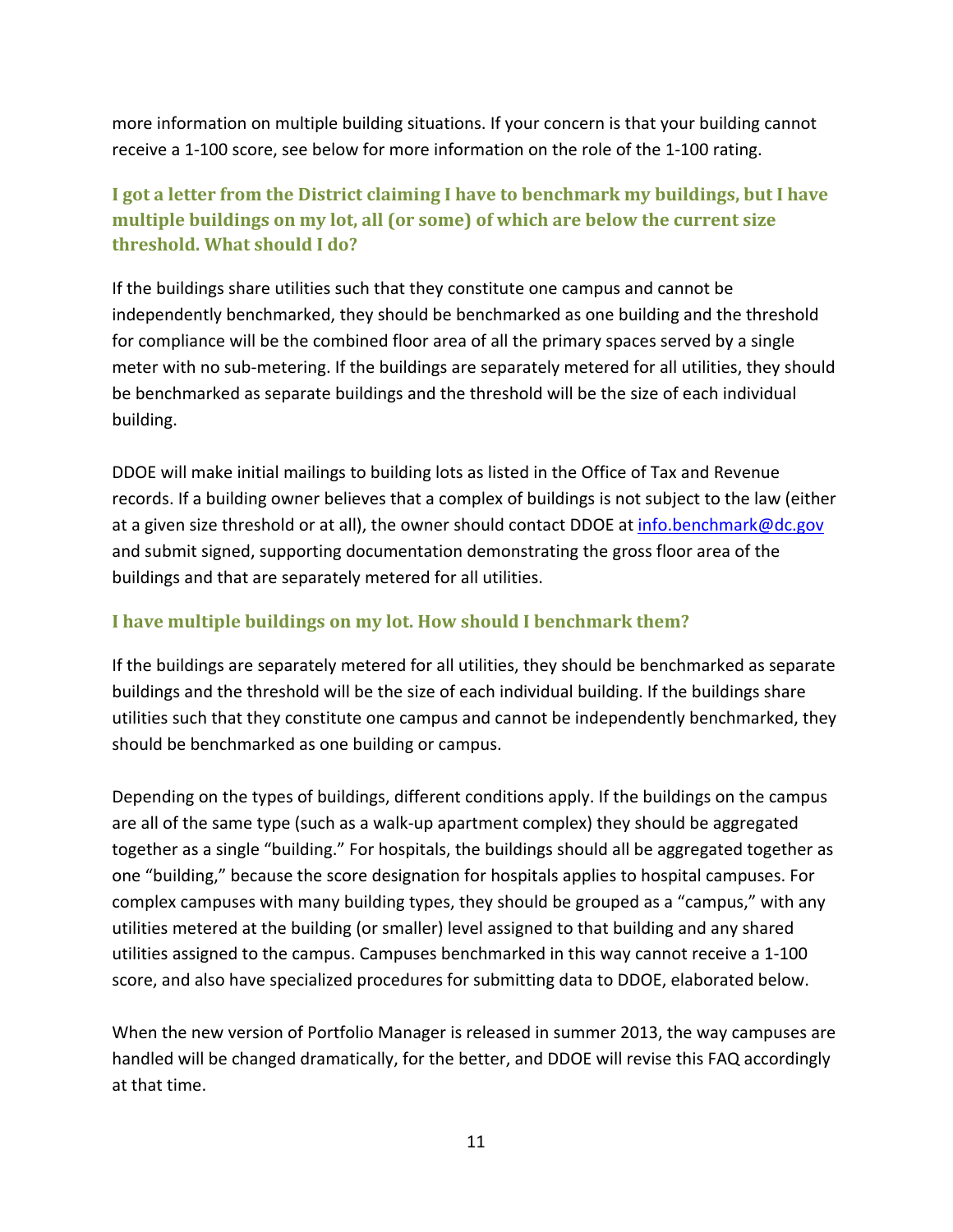<span id="page-10-0"></span>more information on multiple building situations. If your concern is that your building cannot receive a 1‐100 score, see below for more information on the role of the 1‐100 rating.

# **I got a letter from the District claiming I have to benchmark my buildings, but I have multiple buildings on my lot, all (or some) of which are below the current size threshold. What should I do?**

If the buildings share utilities such that they constitute one campus and cannot be independently benchmarked, they should be benchmarked as one building and the threshold for compliance will be the combined floor area of all the primary spaces served by a single meter with no sub-metering. If the buildings are separately metered for all utilities, they should be benchmarked as separate buildings and the threshold will be the size of each individual building.

DDOE will make initial mailings to building lots as listed in the Office of Tax and Revenue records. If a building owner believes that a complex of buildings is not subject to the law (either at a given size threshold or at all), the owner should contact DDOE at [info.benchmark@dc.gov](mailto:info.benchmark@dc.gov) and submit signed, supporting documentation demonstrating the gross floor area of the buildings and that are separately metered for all utilities.

# **I have multiple buildings on my lot. How should I benchmark them?**

If the buildings are separately metered for all utilities, they should be benchmarked as separate buildings and the threshold will be the size of each individual building. If the buildings share utilities such that they constitute one campus and cannot be independently benchmarked, they should be benchmarked as one building or campus.

Depending on the types of buildings, different conditions apply. If the buildings on the campus are all of the same type (such as a walk‐up apartment complex) they should be aggregated together as a single "building." For hospitals, the buildings should all be aggregated together as one "building," because the score designation for hospitals applies to hospital campuses. For complex campuses with many building types, they should be grouped as a "campus," with any utilities metered at the building (or smaller) level assigned to that building and any shared utilities assigned to the campus. Campuses benchmarked in this way cannot receive a 1‐100 score, and also have specialized procedures for submitting data to DDOE, elaborated below.

When the new version of Portfolio Manager is released in summer 2013, the way campuses are handled will be changed dramatically, for the better, and DDOE will revise this FAQ accordingly at that time.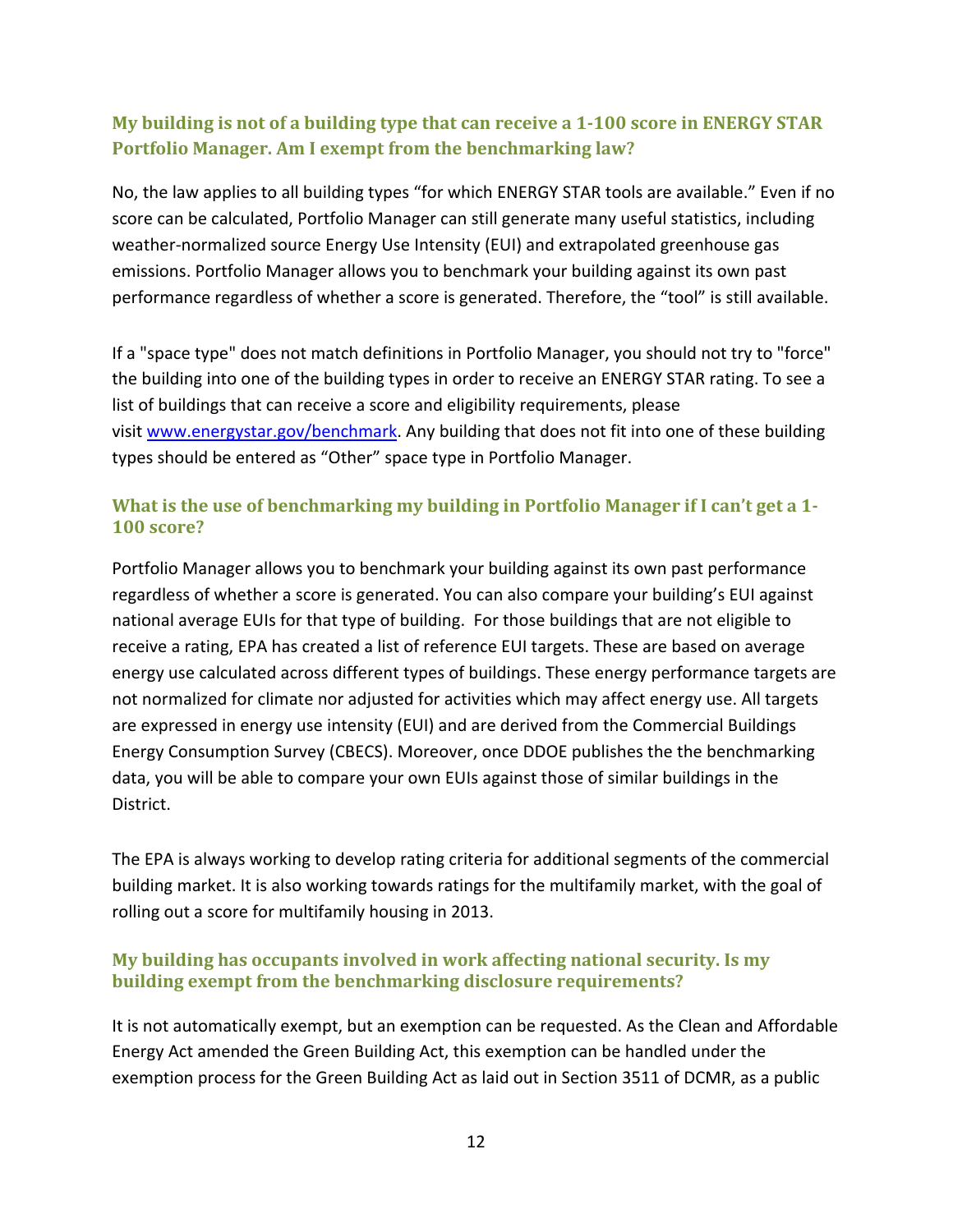# <span id="page-11-0"></span>**My building is not of a building type that can receive a 1100 score in ENERGY STAR Portfolio Manager. Am I exempt from the benchmarking law?**

No, the law applies to all building types "for which ENERGY STAR tools are available." Even if no score can be calculated, Portfolio Manager can still generate many useful statistics, including weather-normalized source Energy Use Intensity (EUI) and extrapolated greenhouse gas emissions. Portfolio Manager allows you to benchmark your building against its own past performance regardless of whether a score is generated. Therefore, the "tool" is still available.

If a "space type" does not match definitions in Portfolio Manager, you should not try to "force" the building into one of the building types in order to receive an ENERGY STAR rating. To see a list of buildings that can receive a score and eligibility requirements, please visit [www.energystar.gov/benchmark](http://www.energystar.gov/benchmark). Any building that does not fit into one of these building types should be entered as "Other" space type in Portfolio Manager.

# **What is the use of benchmarking my building in Portfolio Manager if I can't get a 1 100 score?**

Portfolio Manager allows you to benchmark your building against its own past performance regardless of whether a score is generated. You can also compare your building's EUI against national average EUIs for that type of building. For those buildings that are not eligible to receive a rating, EPA has created a list of reference EUI targets. These are based on average energy use calculated across different types of buildings. These energy performance targets are not normalized for climate nor adjusted for activities which may affect energy use. All targets are expressed in energy use intensity (EUI) and are derived from the Commercial Buildings Energy Consumption Survey (CBECS). Moreover, once DDOE publishes the the benchmarking data, you will be able to compare your own EUIs against those of similar buildings in the District.

The EPA is always working to develop rating criteria for additional segments of the commercial building market. It is also working towards ratings for the multifamily market, with the goal of rolling out a score for multifamily housing in 2013.

### **My building has occupants involved in work affecting national security. Is my building exempt from the benchmarking disclosure requirements?**

It is not automatically exempt, but an exemption can be requested. As the Clean and Affordable Energy Act amended the Green Building Act, this exemption can be handled under the exemption process for the Green Building Act as laid out in Section 3511 of DCMR, as a public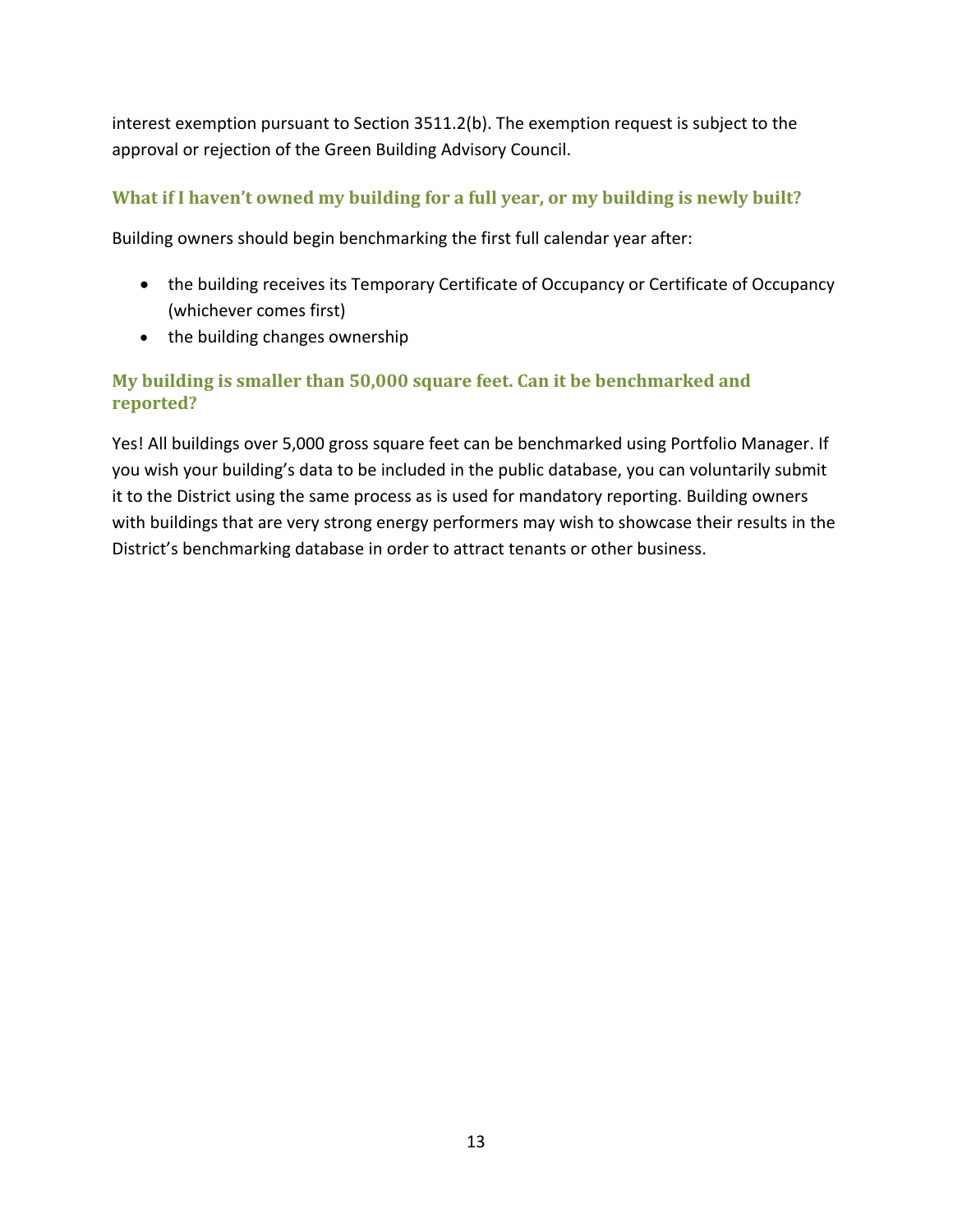<span id="page-12-0"></span>interest exemption pursuant to Section 3511.2(b). The exemption request is subject to the approval or rejection of the Green Building Advisory Council.

# **What if I haven't owned my building for a full year, or my building is newly built?**

Building owners should begin benchmarking the first full calendar year after:

- the building receives its Temporary Certificate of Occupancy or Certificate of Occupancy (whichever comes first)
- the building changes ownership

# **My building is smaller than 50,000 square feet. Can it be benchmarked and reported?**

Yes! All buildings over 5,000 gross square feet can be benchmarked using Portfolio Manager. If you wish your building's data to be included in the public database, you can voluntarily submit it to the District using the same process as is used for mandatory reporting. Building owners with buildings that are very strong energy performers may wish to showcase their results in the District's benchmarking database in order to attract tenants or other business.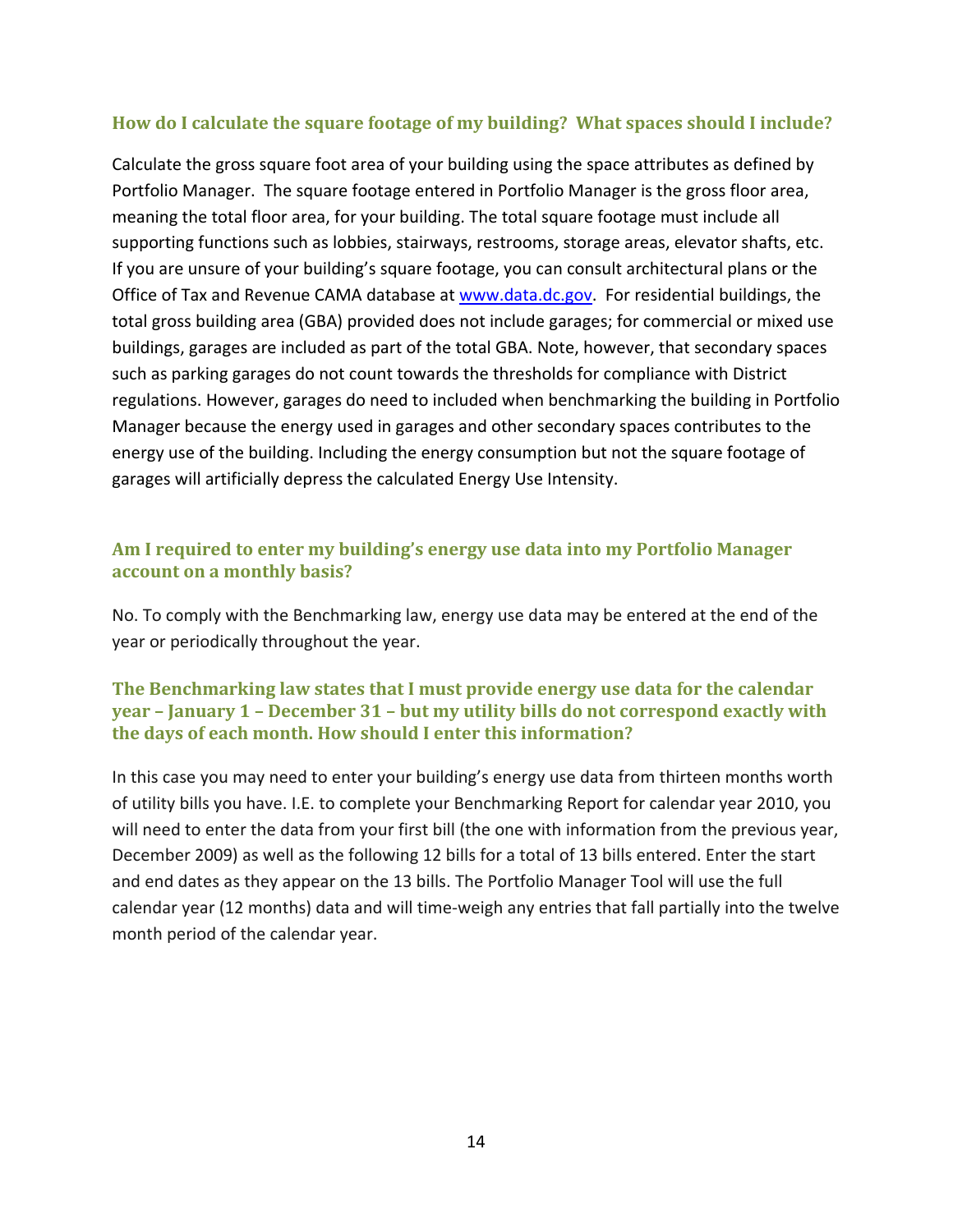### <span id="page-13-0"></span>**How do I calculate the square footage of my building? What spaces should I include?**

Calculate the gross square foot area of your building using the space attributes as defined by Portfolio Manager. The square footage entered in Portfolio Manager is the gross floor area, meaning the total floor area, for your building. The total square footage must include all supporting functions such as lobbies, stairways, restrooms, storage areas, elevator shafts, etc. If you are unsure of your building's square footage, you can consult architectural plans or the Office of Tax and Revenue CAMA database at www.data.dc.gov. For residential buildings, the total gross building area (GBA) provided does not include garages; for commercial or mixed use buildings, garages are included as part of the total GBA. Note, however, that secondary spaces such as parking garages do not count towards the thresholds for compliance with District regulations. However, garages do need to included when benchmarking the building in Portfolio Manager because the energy used in garages and other secondary spaces contributes to the energy use of the building. Including the energy consumption but not the square footage of garages will artificially depress the calculated Energy Use Intensity.

### **Am I required to enter my building's energy use data into my Portfolio Manager account on a monthly basis?**

No. To comply with the Benchmarking law, energy use data may be entered at the end of the year or periodically throughout the year.

#### **The Benchmarking law states that I must provide energy use data for the calendar year – January 1 – December 31 – but my utility bills do not correspond exactly with the days of each month. How should I enter this information?**

In this case you may need to enter your building's energy use data from thirteen months worth of utility bills you have. I.E. to complete your Benchmarking Report for calendar year 2010, you will need to enter the data from your first bill (the one with information from the previous year, December 2009) as well as the following 12 bills for a total of 13 bills entered. Enter the start and end dates as they appear on the 13 bills. The Portfolio Manager Tool will use the full calendar year (12 months) data and will time-weigh any entries that fall partially into the twelve month period of the calendar year.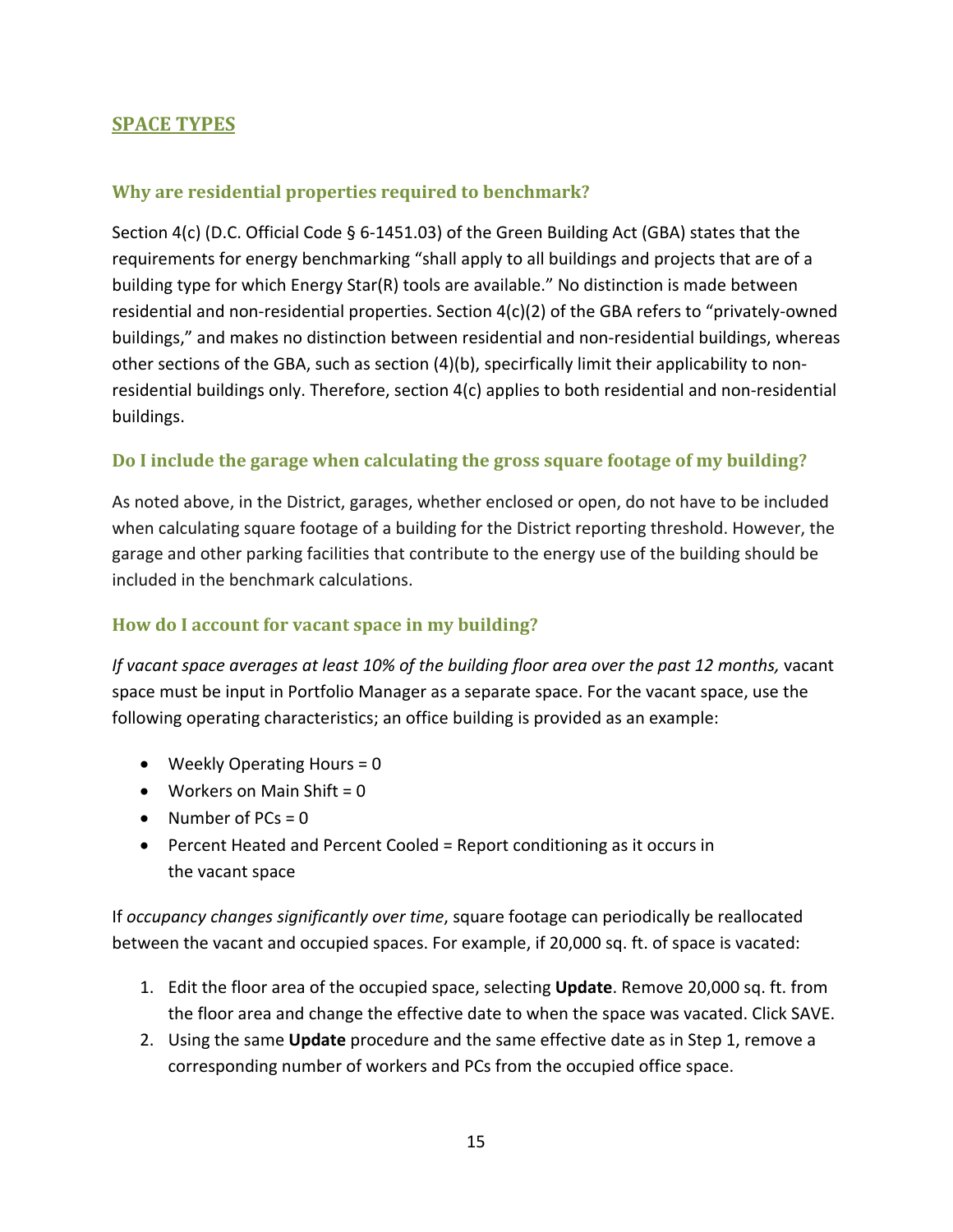# <span id="page-14-0"></span>**SPACE TYPES**

#### **Why are residential properties required to benchmark?**

Section 4(c) (D.C. Official Code § 6‐1451.03) of the Green Building Act (GBA) states that the requirements for energy benchmarking "shall apply to all buildings and projects that are of a building type for which Energy Star(R) tools are available." No distinction is made between residential and non‐residential properties. Section 4(c)(2) of the GBA refers to "privately‐owned buildings," and makes no distinction between residential and non‐residential buildings, whereas other sections of the GBA, such as section (4)(b), specirfically limit their applicability to non‐ residential buildings only. Therefore, section 4(c) applies to both residential and non‐residential buildings.

#### **Do I include the garage when calculating the gross square footage of my building?**

As noted above, in the District, garages, whether enclosed or open, do not have to be included when calculating square footage of a building for the District reporting threshold. However, the garage and other parking facilities that contribute to the energy use of the building should be included in the benchmark calculations.

#### **How do I account for vacant space in my building?**

*If vacant space averages at least 10% of the building floor area over the past 12 months,* vacant space must be input in Portfolio Manager as a separate space. For the vacant space, use the following operating characteristics; an office building is provided as an example:

- Weekly Operating Hours = 0
- Workers on Main Shift =  $0$
- Number of  $PCs = 0$
- Percent Heated and Percent Cooled = Report conditioning as it occurs in the vacant space

If *occupancy changes significantly over time*, square footage can periodically be reallocated between the vacant and occupied spaces. For example, if 20,000 sq. ft. of space is vacated:

- 1. Edit the floor area of the occupied space, selecting **Update**. Remove 20,000 sq. ft. from the floor area and change the effective date to when the space was vacated. Click SAVE.
- 2. Using the same **Update** procedure and the same effective date as in Step 1, remove a corresponding number of workers and PCs from the occupied office space.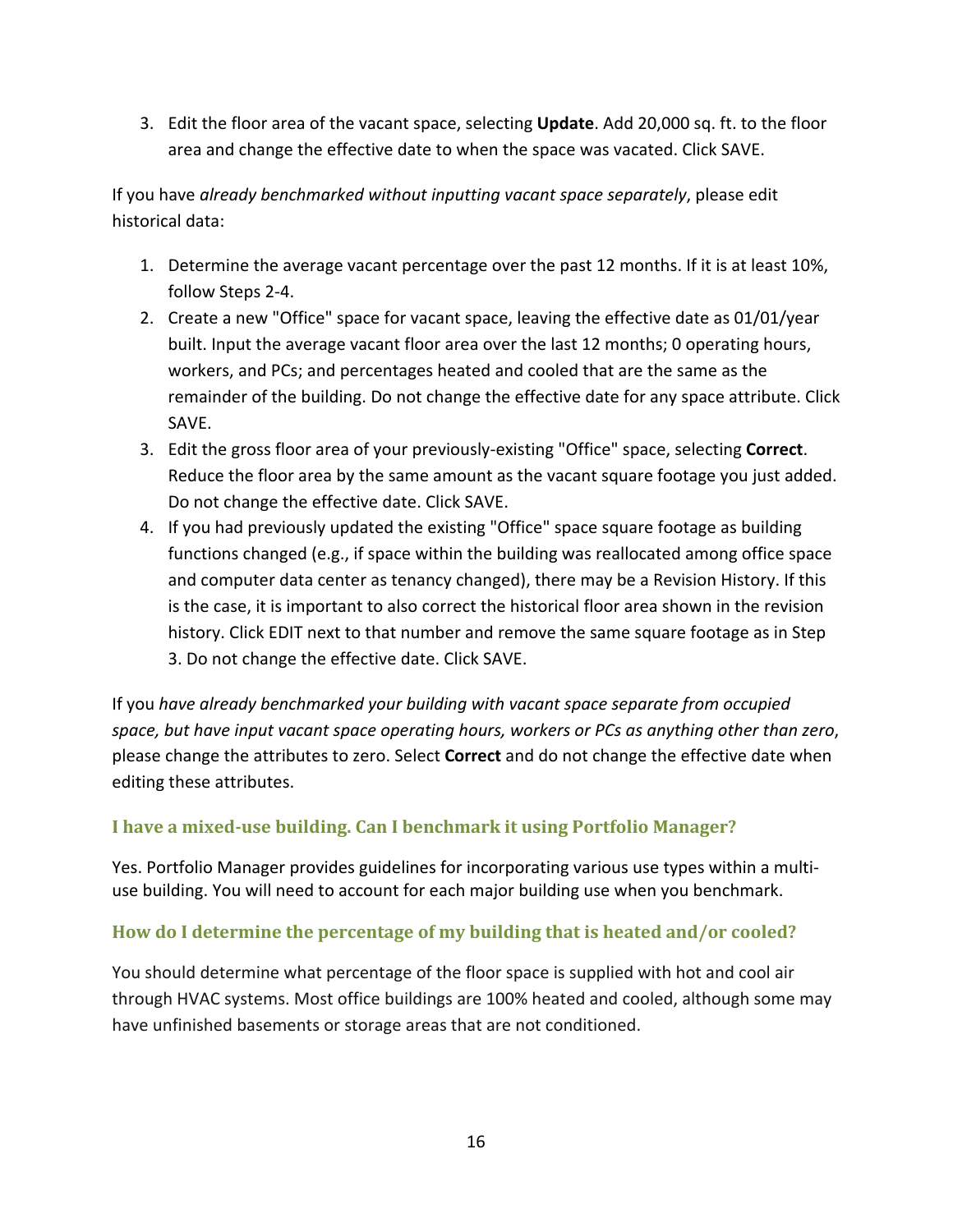<span id="page-15-0"></span>3. Edit the floor area of the vacant space, selecting **Update**. Add 20,000 sq. ft. to the floor area and change the effective date to when the space was vacated. Click SAVE.

If you have *already benchmarked without inputting vacant space separately*, please edit historical data:

- 1. Determine the average vacant percentage over the past 12 months. If it is at least 10%, follow Steps 2‐4.
- 2. Create a new "Office" space for vacant space, leaving the effective date as 01/01/year built. Input the average vacant floor area over the last 12 months; 0 operating hours, workers, and PCs; and percentages heated and cooled that are the same as the remainder of the building. Do not change the effective date for any space attribute. Click SAVE.
- 3. Edit the gross floor area of your previously‐existing "Office" space, selecting **Correct**. Reduce the floor area by the same amount as the vacant square footage you just added. Do not change the effective date. Click SAVE.
- 4. If you had previously updated the existing "Office" space square footage as building functions changed (e.g., if space within the building was reallocated among office space and computer data center as tenancy changed), there may be a Revision History. If this is the case, it is important to also correct the historical floor area shown in the revision history. Click EDIT next to that number and remove the same square footage as in Step 3. Do not change the effective date. Click SAVE.

If you *have already benchmarked your building with vacant space separate from occupied space, but have input vacant space operating hours, workers or PCs as anything other than zero*, please change the attributes to zero. Select **Correct** and do not change the effective date when editing these attributes.

# **I have a mixeduse building. Can I benchmark it using Portfolio Manager?**

Yes. Portfolio Manager provides guidelines for incorporating various use types within a multi‐ use building. You will need to account for each major building use when you benchmark.

# **How do I determine the percentage of my building that is heated and/or cooled?**

You should determine what percentage of the floor space is supplied with hot and cool air through HVAC systems. Most office buildings are 100% heated and cooled, although some may have unfinished basements or storage areas that are not conditioned.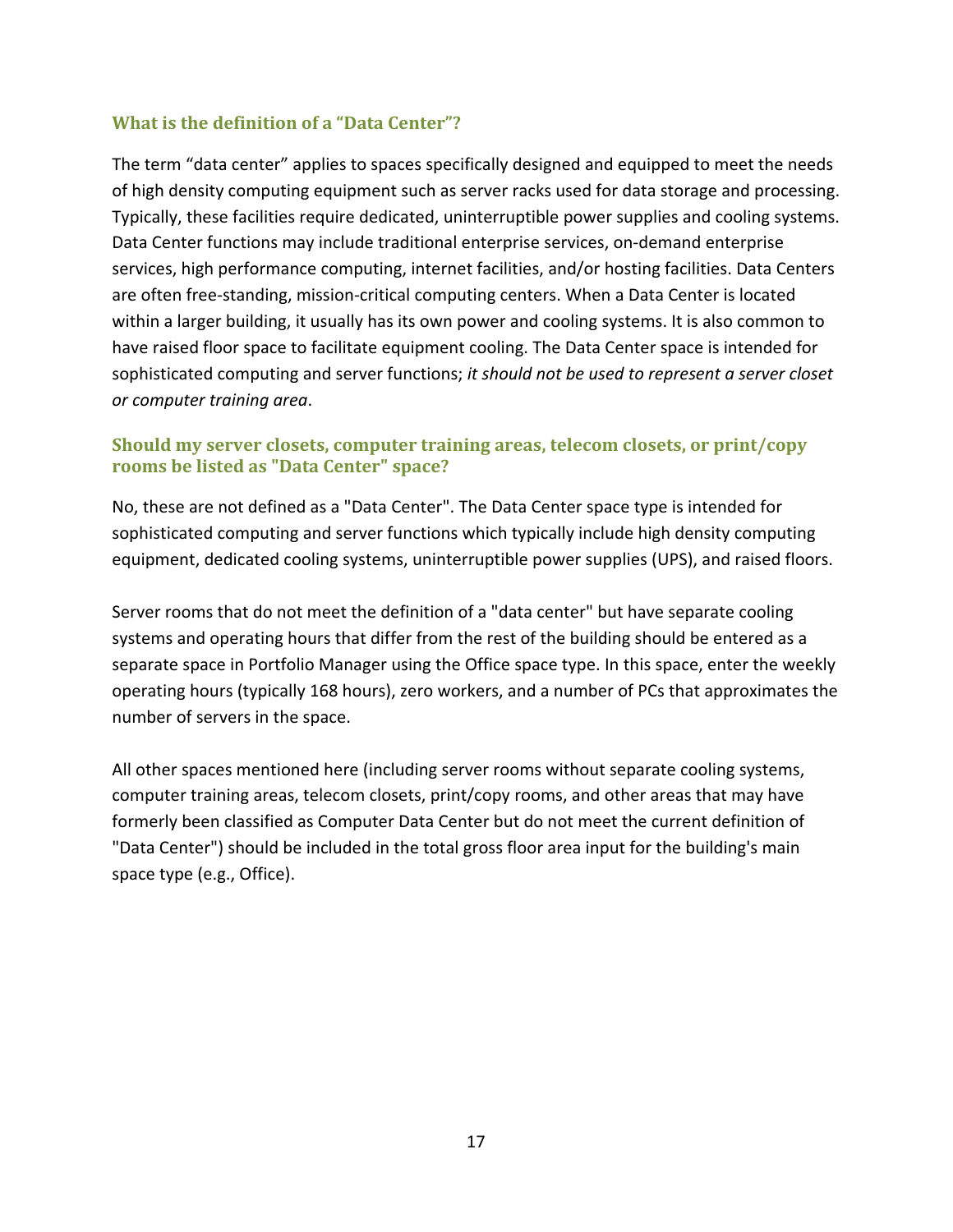## <span id="page-16-0"></span>**What is the definition of a "Data Center"?**

The term "data center" applies to spaces specifically designed and equipped to meet the needs of high density computing equipment such as server racks used for data storage and processing. Typically, these facilities require dedicated, uninterruptible power supplies and cooling systems. Data Center functions may include traditional enterprise services, on‐demand enterprise services, high performance computing, internet facilities, and/or hosting facilities. Data Centers are often free‐standing, mission‐critical computing centers. When a Data Center is located within a larger building, it usually has its own power and cooling systems. It is also common to have raised floor space to facilitate equipment cooling. The Data Center space is intended for sophisticated computing and server functions; *it should not be used to represent a server closet or computer training area*.

#### **Should my server closets, computer training areas, telecom closets, or print/copy rooms be listed as "Data Center" space?**

No, these are not defined as a "Data Center". The Data Center space type is intended for sophisticated computing and server functions which typically include high density computing equipment, dedicated cooling systems, uninterruptible power supplies (UPS), and raised floors.

Server rooms that do not meet the definition of a "data center" but have separate cooling systems and operating hours that differ from the rest of the building should be entered as a separate space in Portfolio Manager using the Office space type. In this space, enter the weekly operating hours (typically 168 hours), zero workers, and a number of PCs that approximates the number of servers in the space.

All other spaces mentioned here (including server rooms without separate cooling systems, computer training areas, telecom closets, print/copy rooms, and other areas that may have formerly been classified as Computer Data Center but do not meet the current definition of "Data Center") should be included in the total gross floor area input for the building's main space type (e.g., Office).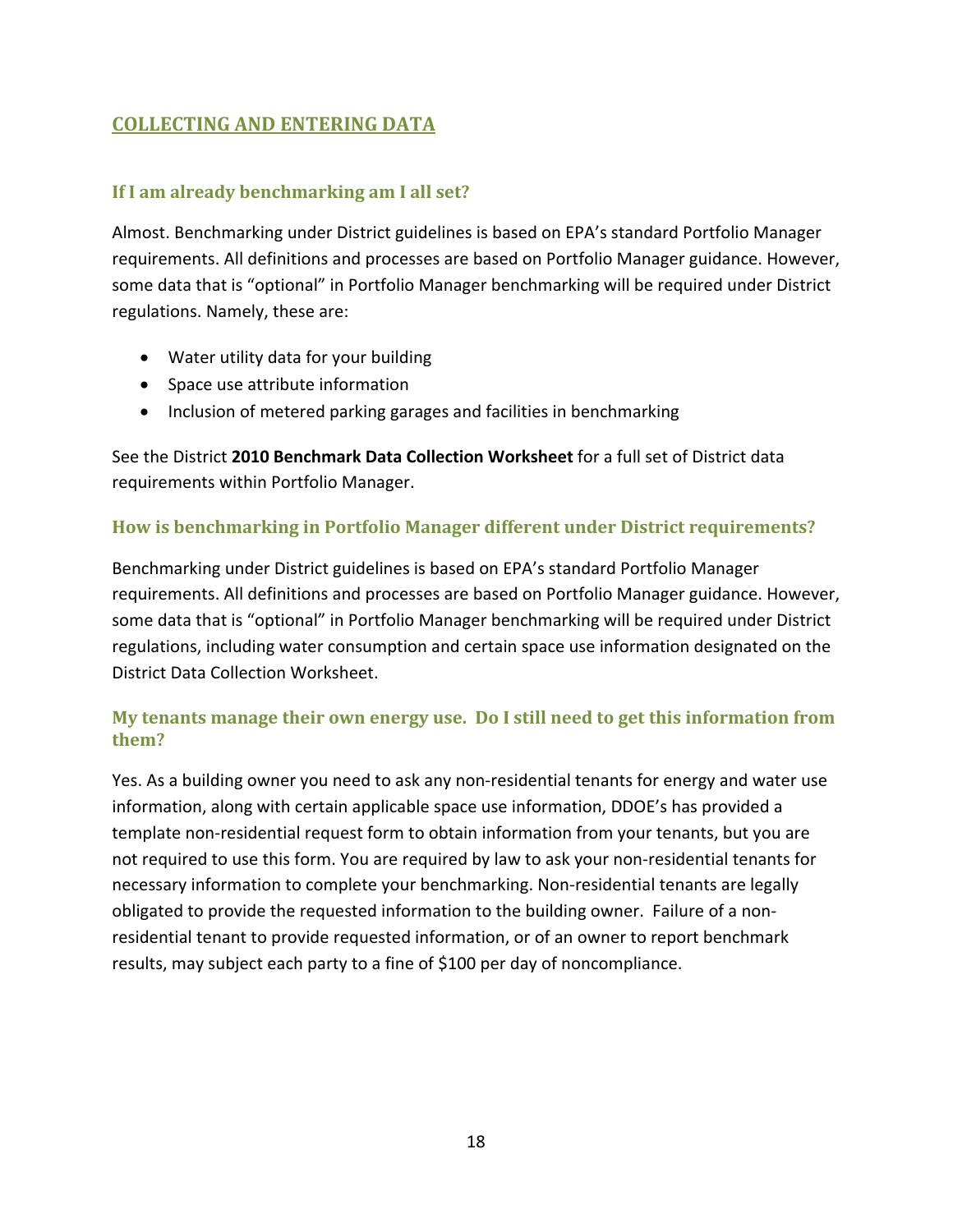# <span id="page-17-0"></span>**COLLECTING AND ENTERING DATA**

# **If I am already benchmarking am I all set?**

Almost. Benchmarking under District guidelines is based on EPA's standard Portfolio Manager requirements. All definitions and processes are based on Portfolio Manager guidance. However, some data that is "optional" in Portfolio Manager benchmarking will be required under District regulations. Namely, these are:

- Water utility data for your building
- Space use attribute information
- Inclusion of metered parking garages and facilities in benchmarking

See the District **2010 Benchmark Data Collection Worksheet** for a full set of District data requirements within Portfolio Manager.

# **How is benchmarking in Portfolio Manager different under District requirements?**

Benchmarking under District guidelines is based on EPA's standard Portfolio Manager requirements. All definitions and processes are based on Portfolio Manager guidance. However, some data that is "optional" in Portfolio Manager benchmarking will be required under District regulations, including water consumption and certain space use information designated on the District Data Collection Worksheet.

# **My tenants manage their own energy use. Do I still need to get this information from them?**

Yes. As a building owner you need to ask any non-residential tenants for energy and water use information, along with certain applicable space use information, DDOE's has provided a template non‐residential request form to obtain information from your tenants, but you are not required to use this form. You are required by law to ask your non‐residential tenants for necessary information to complete your benchmarking. Non-residential tenants are legally obligated to provide the requested information to the building owner. Failure of a non‐ residential tenant to provide requested information, or of an owner to report benchmark results, may subject each party to a fine of \$100 per day of noncompliance.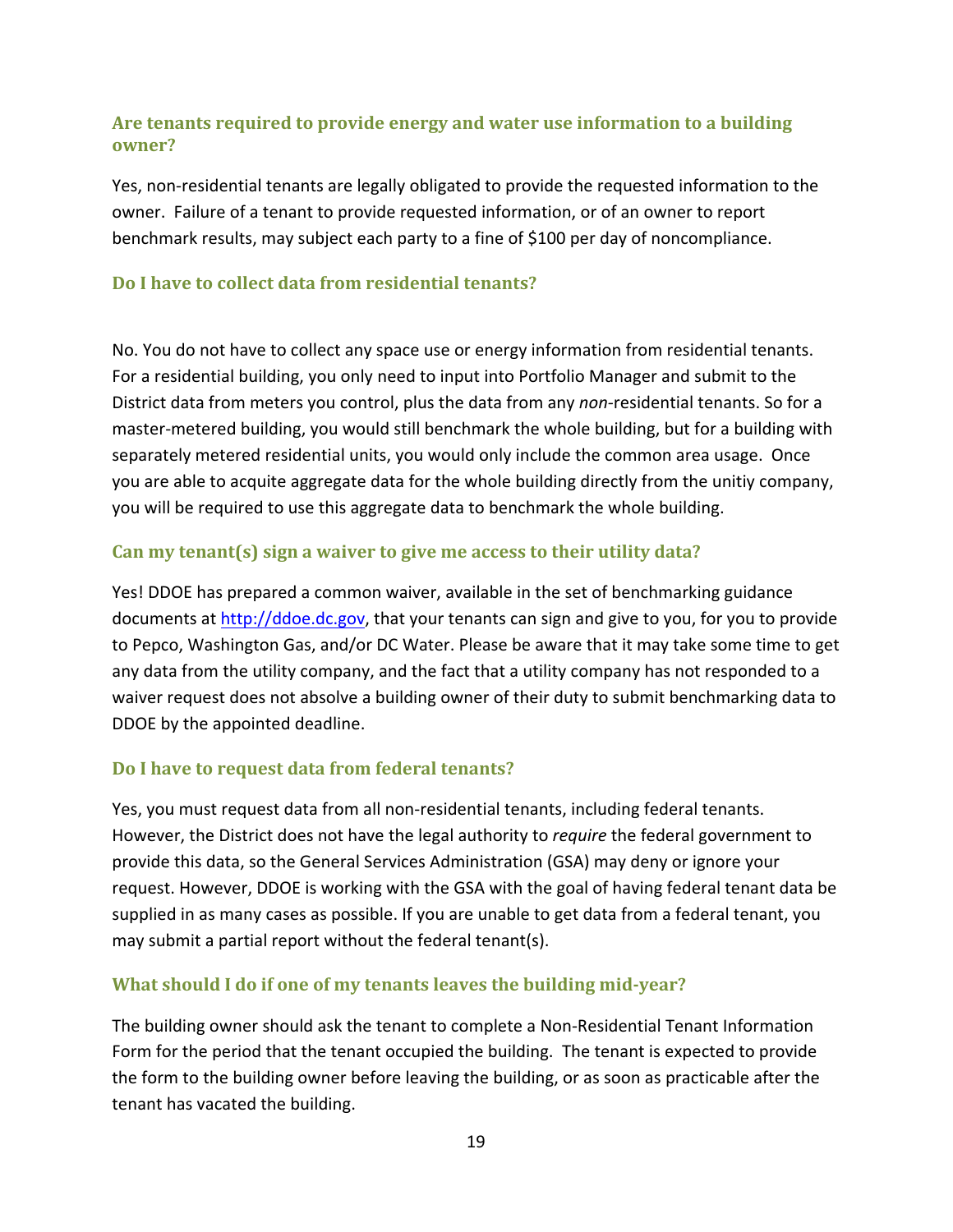## <span id="page-18-0"></span>**Are tenants required to provide energy and water use information to a building owner?**

Yes, non-residential tenants are legally obligated to provide the requested information to the owner. Failure of a tenant to provide requested information, or of an owner to report benchmark results, may subject each party to a fine of \$100 per day of noncompliance.

#### **Do I have to collect data from residential tenants?**

No. You do not have to collect any space use or energy information from residential tenants. For a residential building, you only need to input into Portfolio Manager and submit to the District data from meters you control, plus the data from any *non*-residential tenants. So for a master-metered building, you would still benchmark the whole building, but for a building with separately metered residential units, you would only include the common area usage. Once you are able to acquite aggregate data for the whole building directly from the unitiy company, you will be required to use this aggregate data to benchmark the whole building.

#### **Can my tenant(s) sign a waiver to give me access to their utility data?**

Yes! DDOE has prepared a common waiver, available in the set of benchmarking guidance documents at [http://ddoe.dc.gov,](http://ddoe.dc.gov/) that your tenants can sign and give to you, for you to provide to Pepco, Washington Gas, and/or DC Water. Please be aware that it may take some time to get any data from the utility company, and the fact that a utility company has not responded to a waiver request does not absolve a building owner of their duty to submit benchmarking data to DDOE by the appointed deadline.

#### **Do I have to request data from federal tenants?**

Yes, you must request data from all non-residential tenants, including federal tenants. However, the District does not have the legal authority to *require* the federal government to provide this data, so the General Services Administration (GSA) may deny or ignore your request. However, DDOE is working with the GSA with the goal of having federal tenant data be supplied in as many cases as possible. If you are unable to get data from a federal tenant, you may submit a partial report without the federal tenant(s).

#### **What should I do if one of my tenants leaves the building midyear?**

The building owner should ask the tenant to complete a Non‐Residential Tenant Information Form for the period that the tenant occupied the building. The tenant is expected to provide the form to the building owner before leaving the building, or as soon as practicable after the tenant has vacated the building.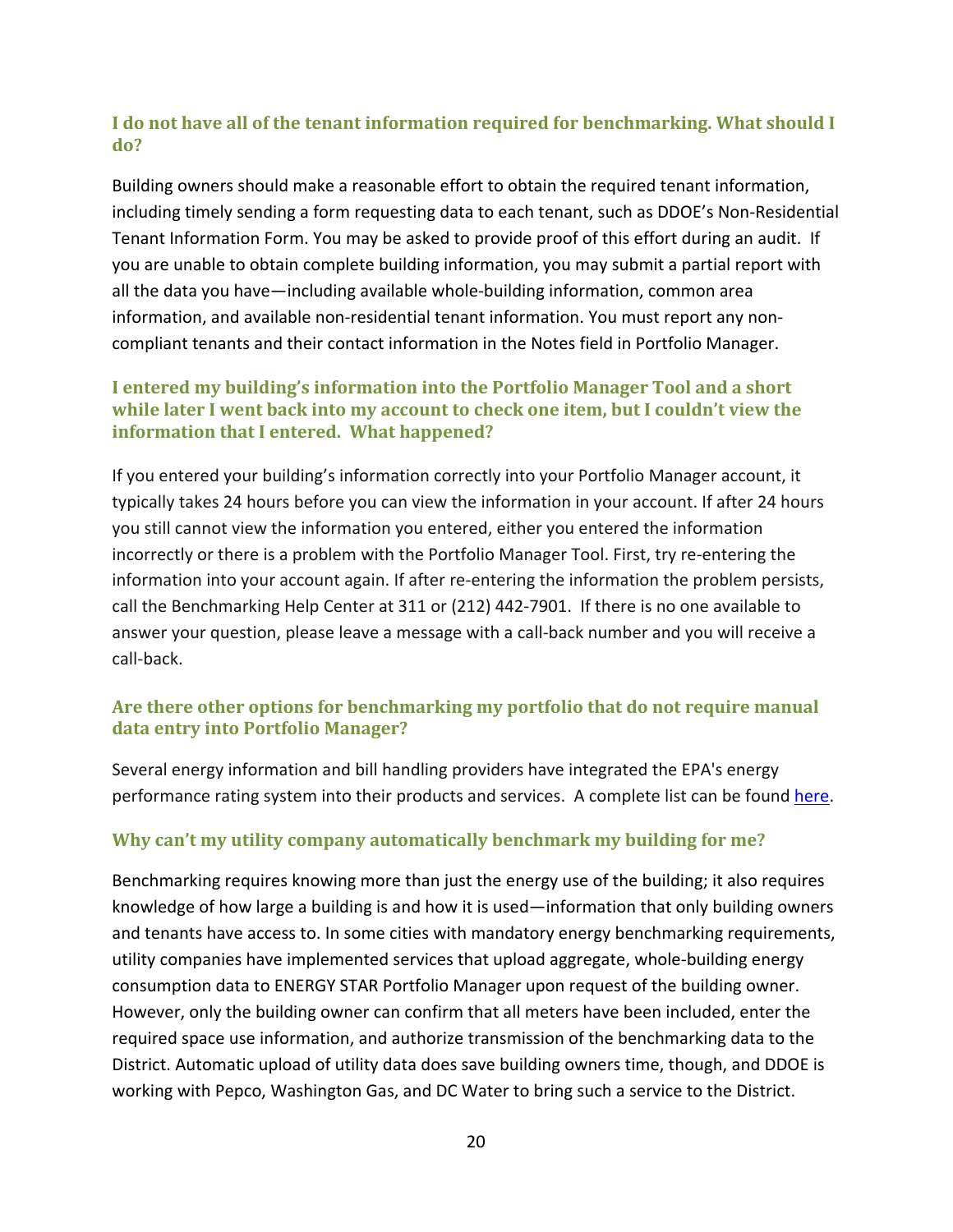# <span id="page-19-0"></span>**I do not have all of the tenant information required for benchmarking. What should I do?**

Building owners should make a reasonable effort to obtain the required tenant information, including timely sending a form requesting data to each tenant, such as DDOE's Non‐Residential Tenant Information Form. You may be asked to provide proof of this effort during an audit. If you are unable to obtain complete building information, you may submit a partial report with all the data you have—including available whole‐building information, common area information, and available non-residential tenant information. You must report any noncompliant tenants and their contact information in the Notes field in Portfolio Manager.

### **I entered my building's information into the Portfolio Manager Tool and a short while later I went back into my account to check one item, but I couldn't view the information that I entered. What happened?**

If you entered your building's information correctly into your Portfolio Manager account, it typically takes 24 hours before you can view the information in your account. If after 24 hours you still cannot view the information you entered, either you entered the information incorrectly or there is a problem with the Portfolio Manager Tool. First, try re‐entering the information into your account again. If after re-entering the information the problem persists, call the Benchmarking Help Center at 311 or (212) 442‐7901. If there is no one available to answer your question, please leave a message with a call‐back number and you will receive a call‐back.

# **Are there other options for benchmarking my portfolio that do not require manual data entry into Portfolio Manager?**

Several energy information and bill handling providers have integrated the EPA's energy performance rating system into their products and services. A complete list can be found [here](http://www.energystar.gov/index.cfm?c=spp_res.pt_spps_automated_benchmarking).

# **Why can't my utility company automatically benchmark my building for me?**

Benchmarking requires knowing more than just the energy use of the building; it also requires knowledge of how large a building is and how it is used—information that only building owners and tenants have access to. In some cities with mandatory energy benchmarking requirements, utility companies have implemented services that upload aggregate, whole‐building energy consumption data to ENERGY STAR Portfolio Manager upon request of the building owner. However, only the building owner can confirm that all meters have been included, enter the required space use information, and authorize transmission of the benchmarking data to the District. Automatic upload of utility data does save building owners time, though, and DDOE is working with Pepco, Washington Gas, and DC Water to bring such a service to the District.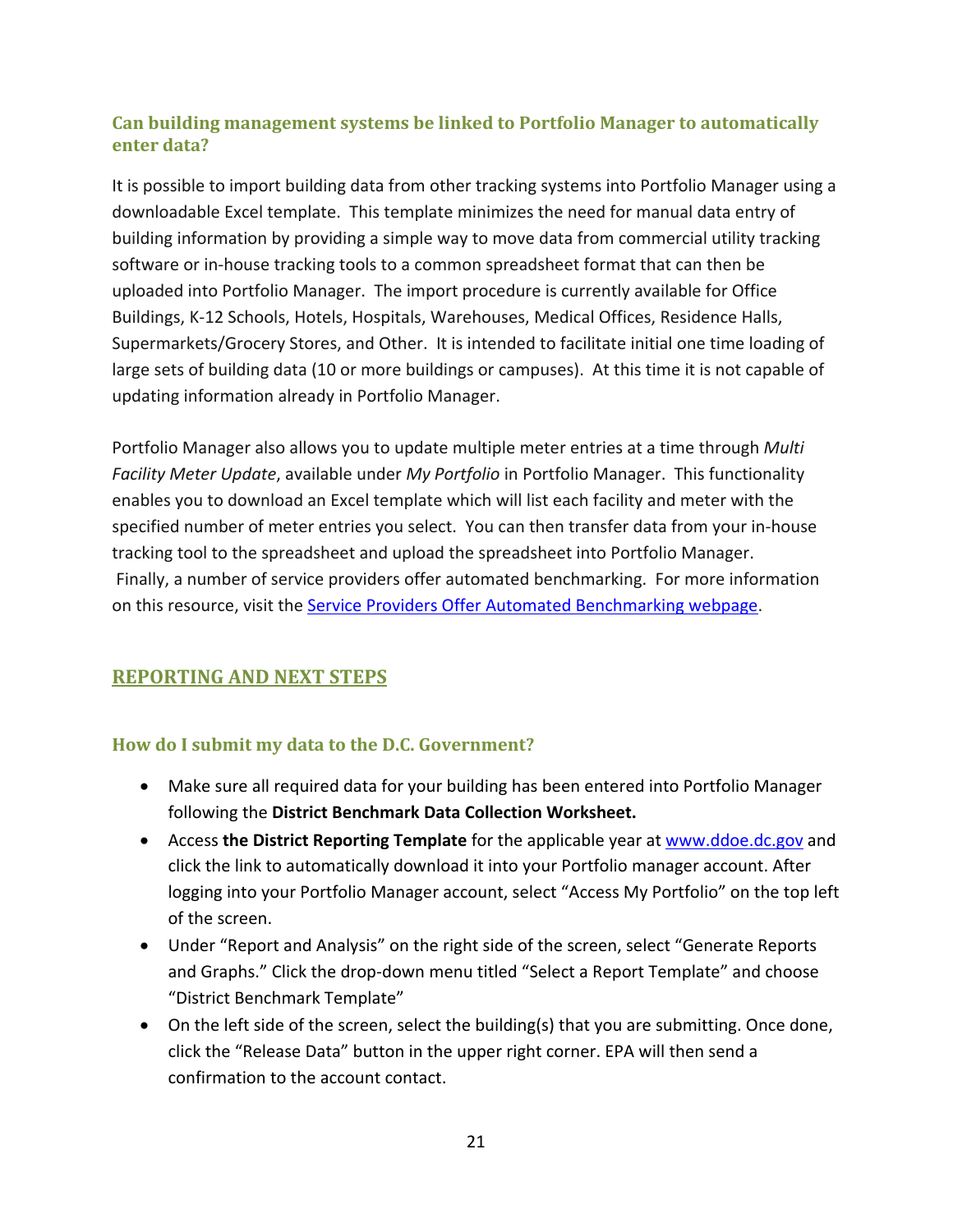# <span id="page-20-0"></span>**Can building management systems be linked to Portfolio Manager to automatically enter data?**

It is possible to import building data from other tracking systems into Portfolio Manager using a downloadable Excel template. This template minimizes the need for manual data entry of building information by providing a simple way to move data from commercial utility tracking software or in-house tracking tools to a common spreadsheet format that can then be uploaded into Portfolio Manager. The import procedure is currently available for Office Buildings, K‐12 Schools, Hotels, Hospitals, Warehouses, Medical Offices, Residence Halls, Supermarkets/Grocery Stores, and Other. It is intended to facilitate initial one time loading of large sets of building data (10 or more buildings or campuses). At this time it is not capable of updating information already in Portfolio Manager.

Portfolio Manager also allows you to update multiple meter entries at a time through *Multi Facility Meter Update*, available under *My Portfolio* in Portfolio Manager. This functionality enables you to download an Excel template which will list each facility and meter with the specified number of meter entries you select. You can then transfer data from your in‐house tracking tool to the spreadsheet and upload the spreadsheet into Portfolio Manager. Finally, a number of service providers offer automated benchmarking. For more information on this resource, visit the Service Providers Offer Automated [Benchmarking](http://www.energystar.gov/index.cfm?c=spp_res.pt_spps_automated_benchmarking) webpage.

# **REPORTING AND NEXT STEPS**

# **How do I submit my data to the D.C. Government?**

- Make sure all required data for your building has been entered into Portfolio Manager following the **District Benchmark Data Collection Worksheet.**
- Access **the District Reporting Template** for the applicable year at [www.ddoe.dc.gov](http://www.ddoe.dc.gov/) and click the link to automatically download it into your Portfolio manager account. After logging into your Portfolio Manager account, select "Access My Portfolio" on the top left of the screen.
- Under "Report and Analysis" on the right side of the screen, select "Generate Reports and Graphs." Click the drop‐down menu titled "Select a Report Template" and choose "District Benchmark Template"
- On the left side of the screen, select the building(s) that you are submitting. Once done, click the "Release Data" button in the upper right corner. EPA will then send a confirmation to the account contact.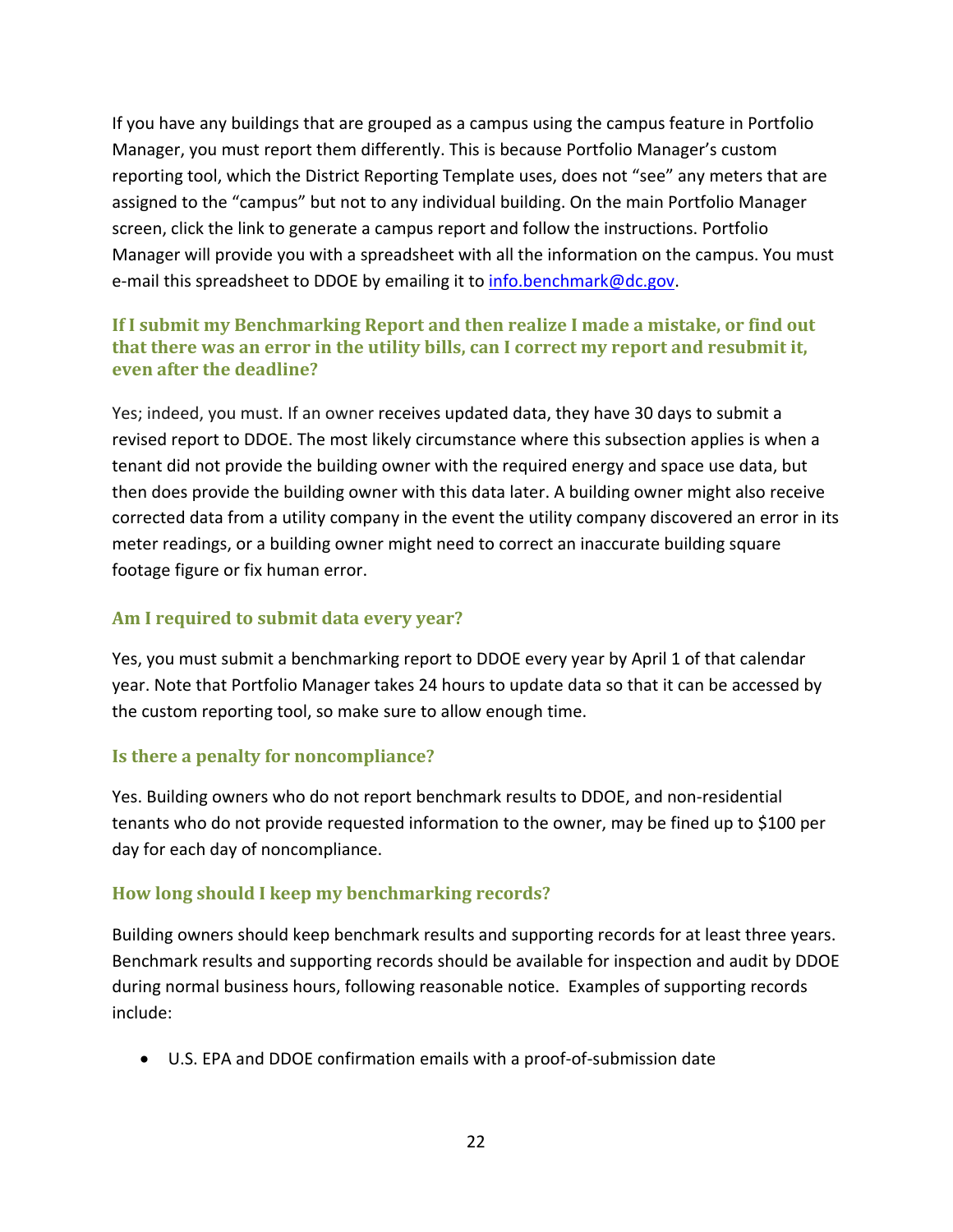<span id="page-21-0"></span>If you have any buildings that are grouped as a campus using the campus feature in Portfolio Manager, you must report them differently. This is because Portfolio Manager's custom reporting tool, which the District Reporting Template uses, does not "see" any meters that are assigned to the "campus" but not to any individual building. On the main Portfolio Manager screen, click the link to generate a campus report and follow the instructions. Portfolio Manager will provide you with a spreadsheet with all the information on the campus. You must e-mail this spreadsheet to DDOE by emailing it to [info.benchmark@dc.gov.](mailto:info.benchmark@dc.gov)

## **If I submit my Benchmarking Report and then realize I made a mistake, or find out that there was an error in the utility bills, can I correct my report and resubmit it, even after the deadline?**

Yes; indeed, you must. If an owner receives updated data, they have 30 days to submit a revised report to DDOE. The most likely circumstance where this subsection applies is when a tenant did not provide the building owner with the required energy and space use data, but then does provide the building owner with this data later. A building owner might also receive corrected data from a utility company in the event the utility company discovered an error in its meter readings, or a building owner might need to correct an inaccurate building square footage figure or fix human error.

# **Am I required to submit data every year?**

Yes, you must submit a benchmarking report to DDOE every year by April 1 of that calendar year. Note that Portfolio Manager takes 24 hours to update data so that it can be accessed by the custom reporting tool, so make sure to allow enough time.

#### **Is there a penalty for noncompliance?**

Yes. Building owners who do not report benchmark results to DDOE, and non‐residential tenants who do not provide requested information to the owner, may be fined up to \$100 per day for each day of noncompliance.

# **How long should I keep my benchmarking records?**

Building owners should keep benchmark results and supporting records for at least three years. Benchmark results and supporting records should be available for inspection and audit by DDOE during normal business hours, following reasonable notice. Examples of supporting records include:

• U.S. EPA and DDOE confirmation emails with a proof‐of‐submission date